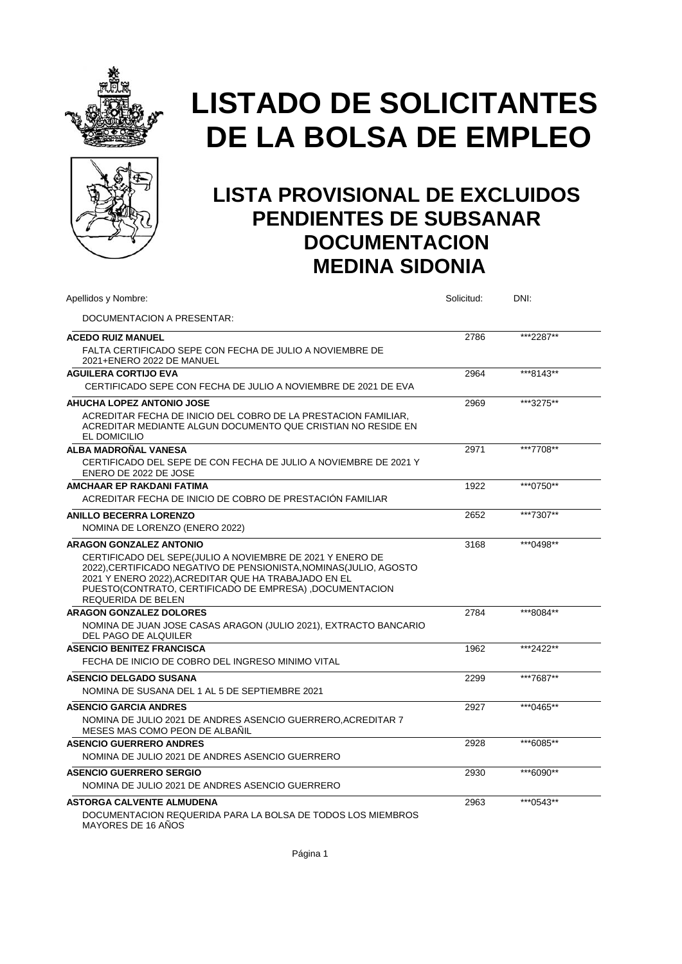



| Apellidos y Nombre:                                                                                                                                                                                                                                                             | Solicitud: | DNI:       |  |
|---------------------------------------------------------------------------------------------------------------------------------------------------------------------------------------------------------------------------------------------------------------------------------|------------|------------|--|
| DOCUMENTACION A PRESENTAR:                                                                                                                                                                                                                                                      |            |            |  |
| <b>ACEDO RUIZ MANUEL</b>                                                                                                                                                                                                                                                        | 2786       | ***2287**  |  |
| FALTA CERTIFICADO SEPE CON FECHA DE JULIO A NOVIEMBRE DE<br>2021+ENERO 2022 DE MANUEL                                                                                                                                                                                           |            |            |  |
| <b>AGUILERA CORTIJO EVA</b>                                                                                                                                                                                                                                                     | 2964       | ***8143**  |  |
| CERTIFICADO SEPE CON FECHA DE JULIO A NOVIEMBRE DE 2021 DE EVA                                                                                                                                                                                                                  |            |            |  |
| <b>AHUCHA LOPEZ ANTONIO JOSE</b>                                                                                                                                                                                                                                                | 2969       | ***3275**  |  |
| ACREDITAR FECHA DE INICIO DEL COBRO DE LA PRESTACION FAMILIAR.<br>ACREDITAR MEDIANTE ALGUN DOCUMENTO QUE CRISTIAN NO RESIDE EN<br>EL DOMICILIO                                                                                                                                  |            |            |  |
| ALBA MADROÑAL VANESA                                                                                                                                                                                                                                                            | 2971       | ***7708**  |  |
| CERTIFICADO DEL SEPE DE CON FECHA DE JULIO A NOVIEMBRE DE 2021 Y<br>ENERO DE 2022 DE JOSE                                                                                                                                                                                       |            |            |  |
| AMCHAAR EP RAKDANI FATIMA                                                                                                                                                                                                                                                       | 1922       | ***0750**  |  |
| ACREDITAR FECHA DE INICIO DE COBRO DE PRESTACIÓN FAMILIAR                                                                                                                                                                                                                       |            |            |  |
| <b>ANILLO BECERRA LORENZO</b>                                                                                                                                                                                                                                                   | 2652       | ***7307**  |  |
| NOMINA DE LORENZO (ENERO 2022)                                                                                                                                                                                                                                                  |            |            |  |
| <b>ARAGON GONZALEZ ANTONIO</b>                                                                                                                                                                                                                                                  | 3168       | ***0498**  |  |
| CERTIFICADO DEL SEPE(JULIO A NOVIEMBRE DE 2021 Y ENERO DE<br>2022), CERTIFICADO NEGATIVO DE PENSIONISTA, NOMINAS (JULIO, AGOSTO<br>2021 Y ENERO 2022), ACREDITAR QUE HA TRABAJADO EN EL<br>PUESTO(CONTRATO, CERTIFICADO DE EMPRESA), DOCUMENTACION<br><b>REQUERIDA DE BELEN</b> |            |            |  |
| <b>ARAGON GONZALEZ DOLORES</b>                                                                                                                                                                                                                                                  | 2784       | ***8084**  |  |
| NOMINA DE JUAN JOSE CASAS ARAGON (JULIO 2021), EXTRACTO BANCARIO<br>DEL PAGO DE ALQUILER                                                                                                                                                                                        |            |            |  |
| <b>ASENCIO BENITEZ FRANCISCA</b>                                                                                                                                                                                                                                                | 1962       | ***2422**  |  |
| FECHA DE INICIO DE COBRO DEL INGRESO MINIMO VITAL                                                                                                                                                                                                                               |            |            |  |
| <b>ASENCIO DELGADO SUSANA</b>                                                                                                                                                                                                                                                   | 2299       | ***7687**  |  |
| NOMINA DE SUSANA DEL 1 AL 5 DE SEPTIEMBRE 2021                                                                                                                                                                                                                                  |            |            |  |
| <b>ASENCIO GARCIA ANDRES</b>                                                                                                                                                                                                                                                    | 2927       | *** 0465** |  |
| NOMINA DE JULIO 2021 DE ANDRES ASENCIO GUERRERO, ACREDITAR 7<br>MESES MAS COMO PEON DE ALBAÑIL                                                                                                                                                                                  |            |            |  |
| <b>ASENCIO GUERRERO ANDRES</b>                                                                                                                                                                                                                                                  | 2928       | ***6085**  |  |
| NOMINA DE JULIO 2021 DE ANDRES ASENCIO GUERRERO                                                                                                                                                                                                                                 |            |            |  |
| <b>ASENCIO GUERRERO SERGIO</b>                                                                                                                                                                                                                                                  | 2930       | ***6090**  |  |
| NOMINA DE JULIO 2021 DE ANDRES ASENCIO GUERRERO                                                                                                                                                                                                                                 |            |            |  |
| <b>ASTORGA CALVENTE ALMUDENA</b><br>DOCUMENTACION REQUERIDA PARA LA BOLSA DE TODOS LOS MIEMBROS<br>MAYORES DE 16 AÑOS                                                                                                                                                           | 2963       | ***0543**  |  |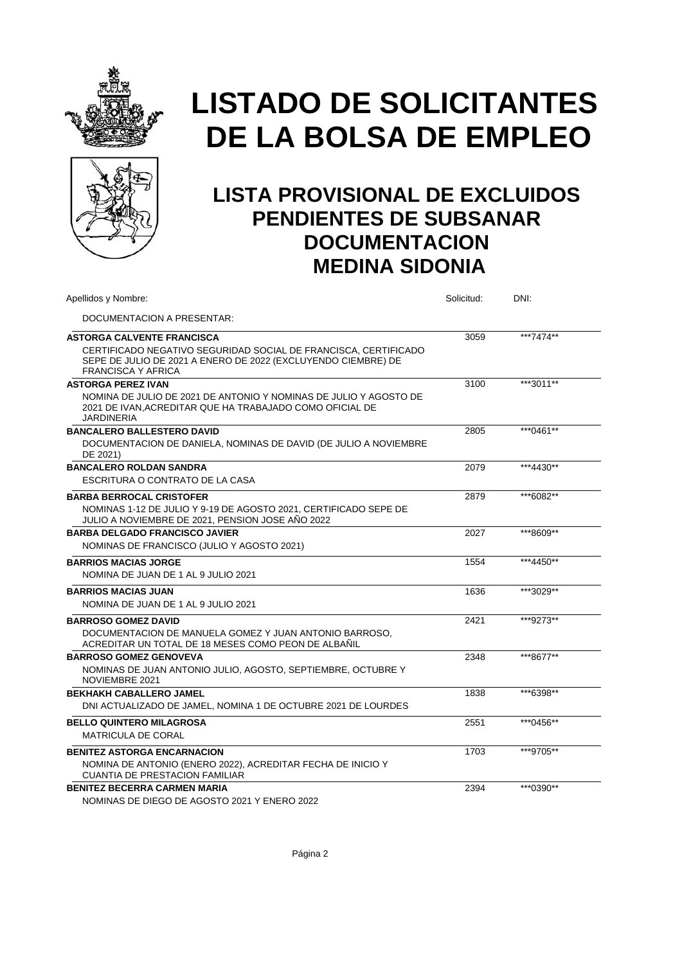



| Apellidos y Nombre:                                                                                                                                           | Solicitud: | DNI:      |  |
|---------------------------------------------------------------------------------------------------------------------------------------------------------------|------------|-----------|--|
| DOCUMENTACION A PRESENTAR:                                                                                                                                    |            |           |  |
| <b>ASTORGA CALVENTE FRANCISCA</b>                                                                                                                             | 3059       | ***7474** |  |
| CERTIFICADO NEGATIVO SEGURIDAD SOCIAL DE FRANCISCA, CERTIFICADO<br>SEPE DE JULIO DE 2021 A ENERO DE 2022 (EXCLUYENDO CIEMBRE) DE<br><b>FRANCISCA Y AFRICA</b> |            |           |  |
| <b>ASTORGA PEREZ IVAN</b>                                                                                                                                     | 3100       | ***3011** |  |
| NOMINA DE JULIO DE 2021 DE ANTONIO Y NOMINAS DE JULIO Y AGOSTO DE<br>2021 DE IVAN, ACREDITAR QUE HA TRABAJADO COMO OFICIAL DE<br><b>JARDINERIA</b>            |            |           |  |
| <b>BANCALERO BALLESTERO DAVID</b>                                                                                                                             | 2805       | ***0461** |  |
| DOCUMENTACION DE DANIELA, NOMINAS DE DAVID (DE JULIO A NOVIEMBRE<br>DE 2021)                                                                                  |            |           |  |
| <b>BANCALERO ROLDAN SANDRA</b>                                                                                                                                | 2079       | ***4430** |  |
| ESCRITURA O CONTRATO DE LA CASA                                                                                                                               |            |           |  |
| <b>BARBA BERROCAL CRISTOFER</b>                                                                                                                               | 2879       | ***6082** |  |
| NOMINAS 1-12 DE JULIO Y 9-19 DE AGOSTO 2021, CERTIFICADO SEPE DE<br>JULIO A NOVIEMBRE DE 2021, PENSION JOSE AÑO 2022                                          |            |           |  |
| <b>BARBA DELGADO FRANCISCO JAVIER</b>                                                                                                                         | 2027       | ***8609** |  |
| NOMINAS DE FRANCISCO (JULIO Y AGOSTO 2021)                                                                                                                    |            |           |  |
| <b>BARRIOS MACIAS JORGE</b>                                                                                                                                   | 1554       | ***4450** |  |
| NOMINA DE JUAN DE 1 AL 9 JULIO 2021                                                                                                                           |            |           |  |
| <b>BARRIOS MACIAS JUAN</b>                                                                                                                                    | 1636       | ***3029** |  |
| NOMINA DE JUAN DE 1 AL 9 JULIO 2021                                                                                                                           |            |           |  |
| <b>BARROSO GOMEZ DAVID</b>                                                                                                                                    | 2421       | ***9273** |  |
| DOCUMENTACION DE MANUELA GOMEZ Y JUAN ANTONIO BARROSO.<br>ACREDITAR UN TOTAL DE 18 MESES COMO PEON DE ALBAÑIL                                                 |            |           |  |
| <b>BARROSO GOMEZ GENOVEVA</b>                                                                                                                                 | 2348       | ***8677** |  |
| NOMINAS DE JUAN ANTONIO JULIO, AGOSTO, SEPTIEMBRE, OCTUBRE Y<br>NOVIEMBRE 2021                                                                                |            |           |  |
| <b>BEKHAKH CABALLERO JAMEL</b>                                                                                                                                | 1838       | ***6398** |  |
| DNI ACTUALIZADO DE JAMEL, NOMINA 1 DE OCTUBRE 2021 DE LOURDES                                                                                                 |            |           |  |
| <b>BELLO QUINTERO MILAGROSA</b>                                                                                                                               | 2551       | ***0456** |  |
| <b>MATRICULA DE CORAL</b>                                                                                                                                     |            |           |  |
| <b>BENITEZ ASTORGA ENCARNACION</b>                                                                                                                            | 1703       | ***9705** |  |
| NOMINA DE ANTONIO (ENERO 2022), ACREDITAR FECHA DE INICIO Y                                                                                                   |            |           |  |
| <b>CUANTIA DE PRESTACION FAMILIAR</b>                                                                                                                         |            |           |  |
| <b>BENITEZ BECERRA CARMEN MARIA</b>                                                                                                                           | 2394       | ***0390** |  |
| NOMINAS DE DIEGO DE AGOSTO 2021 Y ENERO 2022                                                                                                                  |            |           |  |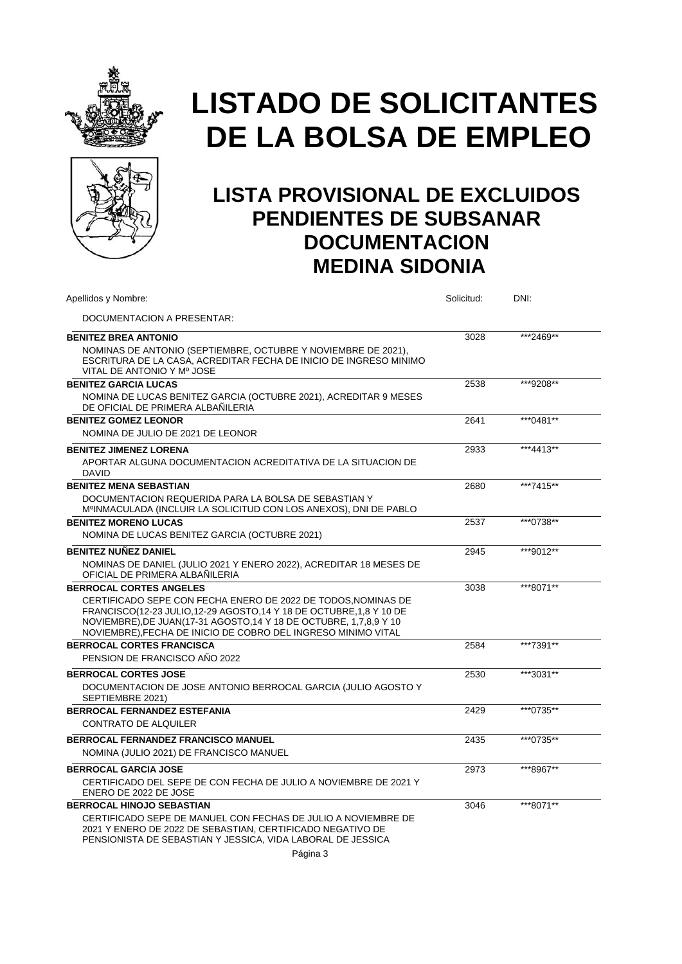



| Apellidos y Nombre:                                                                                                                                                                                                                                                          | Solicitud: | DNI:      |  |
|------------------------------------------------------------------------------------------------------------------------------------------------------------------------------------------------------------------------------------------------------------------------------|------------|-----------|--|
| DOCUMENTACION A PRESENTAR:                                                                                                                                                                                                                                                   |            |           |  |
| <b>BENITEZ BREA ANTONIO</b>                                                                                                                                                                                                                                                  | 3028       | ***2469** |  |
| NOMINAS DE ANTONIO (SEPTIEMBRE, OCTUBRE Y NOVIEMBRE DE 2021),<br>ESCRITURA DE LA CASA, ACREDITAR FECHA DE INICIO DE INGRESO MINIMO<br>VITAL DE ANTONIO Y Mº JOSE                                                                                                             |            |           |  |
| <b>BENITEZ GARCIA LUCAS</b>                                                                                                                                                                                                                                                  | 2538       | ***9208** |  |
| NOMINA DE LUCAS BENITEZ GARCIA (OCTUBRE 2021), ACREDITAR 9 MESES<br>DE OFICIAL DE PRIMERA ALBAÑILERIA                                                                                                                                                                        |            |           |  |
| <b>BENITEZ GOMEZ LEONOR</b>                                                                                                                                                                                                                                                  | 2641       | ***0481** |  |
| NOMINA DE JULIO DE 2021 DE LEONOR                                                                                                                                                                                                                                            |            |           |  |
| <b>BENITEZ JIMENEZ LORENA</b>                                                                                                                                                                                                                                                | 2933       | ***4413** |  |
| APORTAR ALGUNA DOCUMENTACION ACREDITATIVA DE LA SITUACION DE<br><b>DAVID</b>                                                                                                                                                                                                 |            |           |  |
| <b>BENITEZ MENA SEBASTIAN</b>                                                                                                                                                                                                                                                | 2680       | ***7415** |  |
| DOCUMENTACION REQUERIDA PARA LA BOLSA DE SEBASTIAN Y<br>MºINMACULADA (INCLUIR LA SOLICITUD CON LOS ANEXOS), DNI DE PABLO                                                                                                                                                     |            |           |  |
| <b>BENITEZ MORENO LUCAS</b>                                                                                                                                                                                                                                                  | 2537       | ***0738** |  |
| NOMINA DE LUCAS BENITEZ GARCIA (OCTUBRE 2021)                                                                                                                                                                                                                                |            |           |  |
| <b>BENITEZ NUÑEZ DANIEL</b>                                                                                                                                                                                                                                                  | 2945       | ***9012** |  |
| NOMINAS DE DANIEL (JULIO 2021 Y ENERO 2022), ACREDITAR 18 MESES DE<br>OFICIAL DE PRIMERA ALBAÑILERIA                                                                                                                                                                         |            |           |  |
| <b>BERROCAL CORTES ANGELES</b>                                                                                                                                                                                                                                               | 3038       | ***8071** |  |
| CERTIFICADO SEPE CON FECHA ENERO DE 2022 DE TODOS, NOMINAS DE<br>FRANCISCO(12-23 JULIO,12-29 AGOSTO,14 Y 18 DE OCTUBRE,1,8 Y 10 DE<br>NOVIEMBRE), DE JUAN(17-31 AGOSTO, 14 Y 18 DE OCTUBRE, 1, 7, 8, 9 Y 10<br>NOVIEMBRE), FECHA DE INICIO DE COBRO DEL INGRESO MINIMO VITAL |            |           |  |
| <b>BERROCAL CORTES FRANCISCA</b>                                                                                                                                                                                                                                             | 2584       | ***7391** |  |
| PENSION DE FRANCISCO AÑO 2022                                                                                                                                                                                                                                                |            |           |  |
| <b>BERROCAL CORTES JOSE</b>                                                                                                                                                                                                                                                  | 2530       | ***3031** |  |
| DOCUMENTACION DE JOSE ANTONIO BERROCAL GARCIA (JULIO AGOSTO Y<br>SEPTIEMBRE 2021)                                                                                                                                                                                            |            |           |  |
| <b>BERROCAL FERNANDEZ ESTEFANIA</b>                                                                                                                                                                                                                                          | 2429       | ***0735** |  |
| <b>CONTRATO DE ALQUILER</b>                                                                                                                                                                                                                                                  |            |           |  |
| BERROCAL FERNANDEZ FRANCISCO MANUEL                                                                                                                                                                                                                                          | 2435       | ***0735** |  |
| NOMINA (JULIO 2021) DE FRANCISCO MANUEL                                                                                                                                                                                                                                      |            |           |  |
| <b>BERROCAL GARCIA JOSE</b>                                                                                                                                                                                                                                                  | 2973       | ***8967** |  |
| CERTIFICADO DEL SEPE DE CON FECHA DE JULIO A NOVIEMBRE DE 2021 Y                                                                                                                                                                                                             |            |           |  |
| ENERO DE 2022 DE JOSE                                                                                                                                                                                                                                                        |            |           |  |
| <b>BERROCAL HINOJO SEBASTIAN</b>                                                                                                                                                                                                                                             | 3046       | ***8071** |  |
| CERTIFICADO SEPE DE MANUEL CON FECHAS DE JULIO A NOVIEMBRE DE<br>2021 Y ENERO DE 2022 DE SEBASTIAN, CERTIFICADO NEGATIVO DE<br>PENSIONISTA DE SEBASTIAN Y JESSICA, VIDA LABORAL DE JESSICA                                                                                   |            |           |  |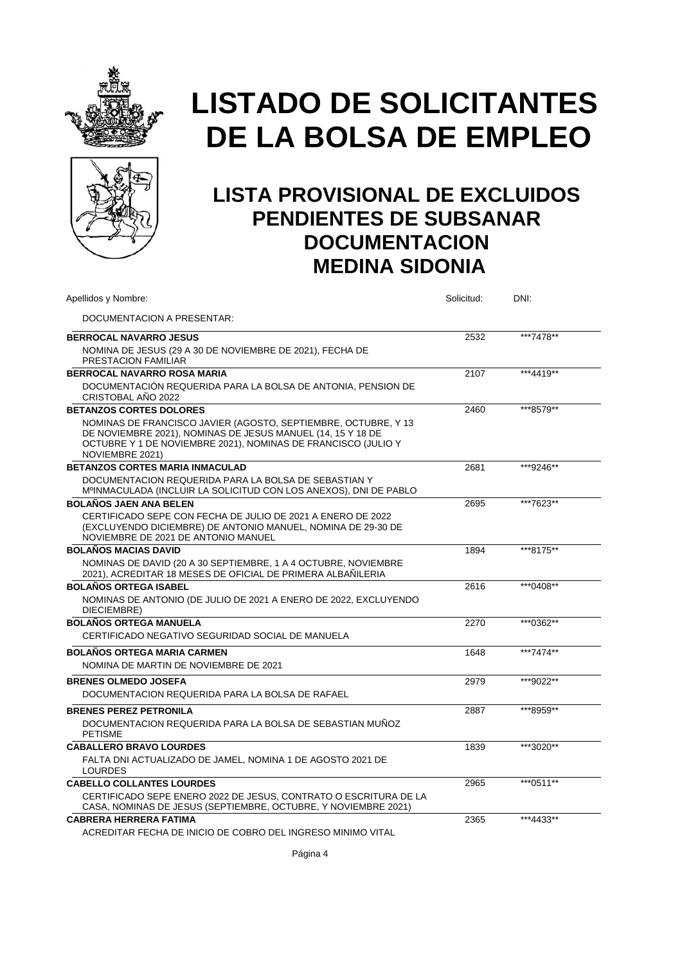



| Apellidos y Nombre:                                                                                                                                                                                               | Solicitud: | DNI:      |
|-------------------------------------------------------------------------------------------------------------------------------------------------------------------------------------------------------------------|------------|-----------|
| DOCUMENTACION A PRESENTAR:                                                                                                                                                                                        |            |           |
| <b>BERROCAL NAVARRO JESUS</b>                                                                                                                                                                                     | 2532       | ***7478** |
| NOMINA DE JESUS (29 A 30 DE NOVIEMBRE DE 2021), FECHA DE<br>PRESTACION FAMILIAR                                                                                                                                   |            |           |
| <b>BERROCAL NAVARRO ROSA MARIA</b>                                                                                                                                                                                | 2107       | ***4419** |
| DOCUMENTACIÓN REQUERIDA PARA LA BOLSA DE ANTONIA, PENSION DE<br>CRISTOBAL AÑO 2022                                                                                                                                |            |           |
| <b>BETANZOS CORTES DOLORES</b>                                                                                                                                                                                    | 2460       | ***8579** |
| NOMINAS DE FRANCISCO JAVIER (AGOSTO, SEPTIEMBRE, OCTUBRE, Y 13<br>DE NOVIEMBRE 2021), NOMINAS DE JESUS MANUEL (14, 15 Y 18 DE<br>OCTUBRE Y 1 DE NOVIEMBRE 2021), NOMINAS DE FRANCISCO (JULIO Y<br>NOVIEMBRE 2021) |            |           |
| <b>BETANZOS CORTES MARIA INMACULAD</b>                                                                                                                                                                            | 2681       | ***9246** |
| DOCUMENTACION REQUERIDA PARA LA BOLSA DE SEBASTIAN Y<br>MºINMACULADA (INCLUIR LA SOLICITUD CON LOS ANEXOS), DNI DE PABLO                                                                                          |            |           |
| <b>BOLAÑOS JAEN ANA BELEN</b>                                                                                                                                                                                     | 2695       | ***7623** |
| CERTIFICADO SEPE CON FECHA DE JULIO DE 2021 A ENERO DE 2022<br>(EXCLUYENDO DICIEMBRE) DE ANTONIO MANUEL, NOMINA DE 29-30 DE<br>NOVIEMBRE DE 2021 DE ANTONIO MANUEL                                                |            |           |
| <b>BOLAÑOS MACIAS DAVID</b>                                                                                                                                                                                       | 1894       | ***8175** |
| NOMINAS DE DAVID (20 A 30 SEPTIEMBRE, 1 A 4 OCTUBRE, NOVIEMBRE<br>2021), ACREDITAR 18 MESES DE OFICIAL DE PRIMERA ALBAÑILERIA                                                                                     |            |           |
| <b>BOLAÑOS ORTEGA ISABEL</b>                                                                                                                                                                                      | 2616       | ***0408** |
| NOMINAS DE ANTONIO (DE JULIO DE 2021 A ENERO DE 2022, EXCLUYENDO<br>DIECIEMBRE)                                                                                                                                   |            |           |
| <b>BOLAÑOS ORTEGA MANUELA</b>                                                                                                                                                                                     | 2270       | ***0362** |
| CERTIFICADO NEGATIVO SEGURIDAD SOCIAL DE MANUELA                                                                                                                                                                  |            |           |
| <b>BOLAÑOS ORTEGA MARIA CARMEN</b><br>NOMINA DE MARTIN DE NOVIEMBRE DE 2021                                                                                                                                       | 1648       | ***7474** |
| <b>BRENES OLMEDO JOSEFA</b>                                                                                                                                                                                       | 2979       | ***9022** |
| DOCUMENTACION REQUERIDA PARA LA BOLSA DE RAFAEL                                                                                                                                                                   |            |           |
| <b>BRENES PEREZ PETRONILA</b>                                                                                                                                                                                     | 2887       | ***8959** |
| DOCUMENTACION REQUERIDA PARA LA BOLSA DE SEBASTIAN MUNOZ<br><b>PETISME</b>                                                                                                                                        |            |           |
| <b>CABALLERO BRAVO LOURDES</b>                                                                                                                                                                                    | 1839       | ***3020** |
| FALTA DNI ACTUALIZADO DE JAMEL, NOMINA 1 DE AGOSTO 2021 DE<br><b>LOURDES</b>                                                                                                                                      |            |           |
| <b>CABELLO COLLANTES LOURDES</b>                                                                                                                                                                                  | 2965       | ***0511** |
| CERTIFICADO SEPE ENERO 2022 DE JESUS, CONTRATO O ESCRITURA DE LA<br>CASA, NOMINAS DE JESUS (SEPTIEMBRE, OCTUBRE, Y NOVIEMBRE 2021)                                                                                |            |           |
| <b>CABRERA HERRERA FATIMA</b>                                                                                                                                                                                     | 2365       | ***4433** |
| ACREDITAR FECHA DE INICIO DE COBRO DEL INGRESO MINIMO VITAL                                                                                                                                                       |            |           |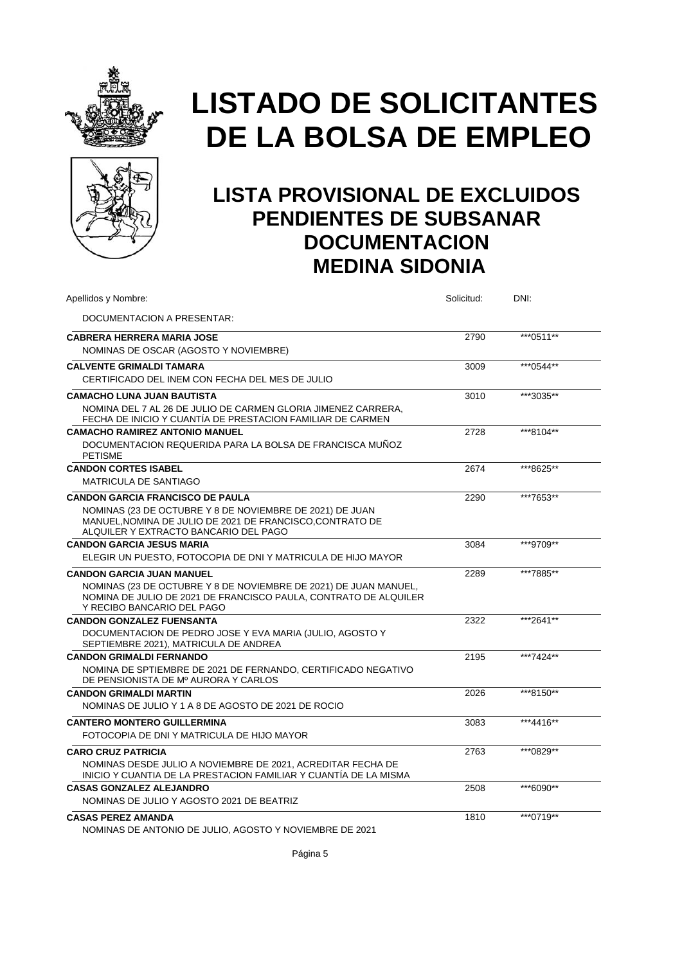



### **LISTA PROVISIONAL DE EXCLUIDOS PENDIENTES DE SUBSANAR DOCUMENTACION MEDINA SIDONIA**

| Apellidos y Nombre:                                                                                                                                                | Solicitud: | DNI:      |  |
|--------------------------------------------------------------------------------------------------------------------------------------------------------------------|------------|-----------|--|
| DOCUMENTACION A PRESENTAR:                                                                                                                                         |            |           |  |
| <b>CABRERA HERRERA MARIA JOSE</b>                                                                                                                                  | 2790       | ***0511** |  |
| NOMINAS DE OSCAR (AGOSTO Y NOVIEMBRE)                                                                                                                              |            |           |  |
| <b>CALVENTE GRIMALDI TAMARA</b>                                                                                                                                    | 3009       | ***0544** |  |
| CERTIFICADO DEL INEM CON FECHA DEL MES DE JULIO                                                                                                                    |            |           |  |
| <b>CAMACHO LUNA JUAN BAUTISTA</b>                                                                                                                                  | 3010       | ***3035** |  |
| NOMINA DEL 7 AL 26 DE JULIO DE CARMEN GLORIA JIMENEZ CARRERA,<br>FECHA DE INICIO Y CUANTÍA DE PRESTACION FAMILIAR DE CARMEN                                        |            |           |  |
| <b>CAMACHO RAMIREZ ANTONIO MANUEL</b>                                                                                                                              | 2728       | ***8104** |  |
| DOCUMENTACION REQUERIDA PARA LA BOLSA DE FRANCISCA MUNOZ<br><b>PETISME</b>                                                                                         |            |           |  |
| <b>CANDON CORTES ISABEL</b>                                                                                                                                        | 2674       | ***8625** |  |
| <b>MATRICULA DE SANTIAGO</b>                                                                                                                                       |            |           |  |
| <b>CANDON GARCIA FRANCISCO DE PAULA</b>                                                                                                                            | 2290       | ***7653** |  |
| NOMINAS (23 DE OCTUBRE Y 8 DE NOVIEMBRE DE 2021) DE JUAN<br>MANUEL.NOMINA DE JULIO DE 2021 DE FRANCISCO.CONTRATO DE<br>ALQUILER Y EXTRACTO BANCARIO DEL PAGO       |            |           |  |
| <b>CANDON GARCIA JESUS MARIA</b>                                                                                                                                   | 3084       | ***9709** |  |
| ELEGIR UN PUESTO, FOTOCOPIA DE DNI Y MATRICULA DE HIJO MAYOR                                                                                                       |            |           |  |
| <b>CANDON GARCIA JUAN MANUEL</b>                                                                                                                                   | 2289       | ***7885** |  |
| NOMINAS (23 DE OCTUBRE Y 8 DE NOVIEMBRE DE 2021) DE JUAN MANUEL,<br>NOMINA DE JULIO DE 2021 DE FRANCISCO PAULA, CONTRATO DE ALQUILER<br>Y RECIBO BANCARIO DEL PAGO |            |           |  |
| <b>CANDON GONZALEZ FUENSANTA</b>                                                                                                                                   | 2322       | ***2641** |  |
| DOCUMENTACION DE PEDRO JOSE Y EVA MARIA (JULIO, AGOSTO Y<br>SEPTIEMBRE 2021), MATRICULA DE ANDREA                                                                  |            |           |  |
| <b>CANDON GRIMALDI FERNANDO</b>                                                                                                                                    | 2195       | ***7424** |  |
| NOMINA DE SPTIEMBRE DE 2021 DE FERNANDO, CERTIFICADO NEGATIVO<br>DE PENSIONISTA DE Mº AURORA Y CARLOS                                                              |            |           |  |
| <b>CANDON GRIMALDI MARTIN</b>                                                                                                                                      | 2026       | ***8150** |  |
| NOMINAS DE JULIO Y 1 A 8 DE AGOSTO DE 2021 DE ROCIO                                                                                                                |            |           |  |
| <b>CANTERO MONTERO GUILLERMINA</b>                                                                                                                                 | 3083       | ***4416** |  |
| FOTOCOPIA DE DNI Y MATRICULA DE HIJO MAYOR                                                                                                                         |            |           |  |
| <b>CARO CRUZ PATRICIA</b>                                                                                                                                          | 2763       | ***0829** |  |
| NOMINAS DESDE JULIO A NOVIEMBRE DE 2021, ACREDITAR FECHA DE<br>INICIO Y CUANTIA DE LA PRESTACION FAMILIAR Y CUANTÍA DE LA MISMA                                    |            |           |  |
| <b>CASAS GONZALEZ ALEJANDRO</b>                                                                                                                                    | 2508       | ***6090** |  |
| NOMINAS DE JULIO Y AGOSTO 2021 DE BEATRIZ                                                                                                                          |            |           |  |
| <b>CASAS PEREZ AMANDA</b>                                                                                                                                          | 1810       | ***0719** |  |
| NOMINAS DE ANTONIO DE JULIO, AGOSTO Y NOVIEMBRE DE 2021                                                                                                            |            |           |  |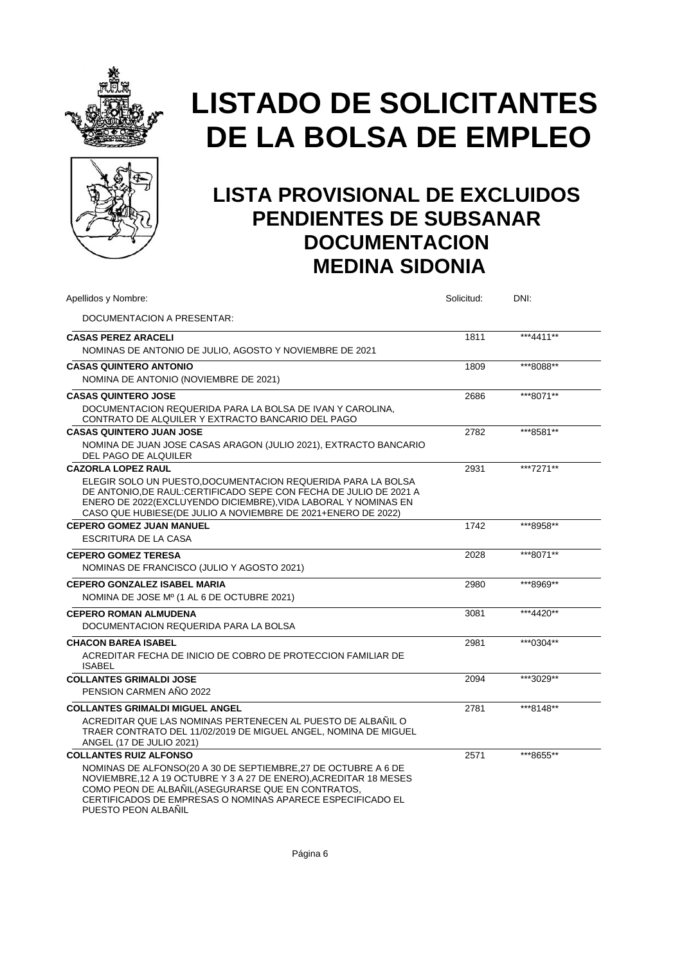



| Apellidos y Nombre:                                                                                                                                                                                                                                                                                            | Solicitud: | DNI:      |
|----------------------------------------------------------------------------------------------------------------------------------------------------------------------------------------------------------------------------------------------------------------------------------------------------------------|------------|-----------|
| DOCUMENTACION A PRESENTAR:                                                                                                                                                                                                                                                                                     |            |           |
| <b>CASAS PEREZ ARACELI</b><br>NOMINAS DE ANTONIO DE JULIO, AGOSTO Y NOVIEMBRE DE 2021                                                                                                                                                                                                                          | 1811       | ***4411** |
| <b>CASAS QUINTERO ANTONIO</b><br>NOMINA DE ANTONIO (NOVIEMBRE DE 2021)                                                                                                                                                                                                                                         | 1809       | ***8088** |
| <b>CASAS QUINTERO JOSE</b><br>DOCUMENTACION REQUERIDA PARA LA BOLSA DE IVAN Y CAROLINA,<br>CONTRATO DE ALQUILER Y EXTRACTO BANCARIO DEL PAGO                                                                                                                                                                   | 2686       | ***8071** |
| <b>CASAS QUINTERO JUAN JOSE</b><br>NOMINA DE JUAN JOSE CASAS ARAGON (JULIO 2021), EXTRACTO BANCARIO<br>DEL PAGO DE ALQUILER                                                                                                                                                                                    | 2782       | ***8581** |
| <b>CAZORLA LOPEZ RAUL</b><br>ELEGIR SOLO UN PUESTO, DOCUMENTACION REQUERIDA PARA LA BOLSA<br>DE ANTONIO.DE RAUL:CERTIFICADO SEPE CON FECHA DE JULIO DE 2021 A<br>ENERO DE 2022(EXCLUYENDO DICIEMBRE), VIDA LABORAL Y NOMINAS EN<br>CASO QUE HUBIESE(DE JULIO A NOVIEMBRE DE 2021+ENERO DE 2022)                | 2931       | ***7271** |
| <b>CEPERO GOMEZ JUAN MANUEL</b><br><b>ESCRITURA DE LA CASA</b>                                                                                                                                                                                                                                                 | 1742       | ***8958** |
| <b>CEPERO GOMEZ TERESA</b><br>NOMINAS DE FRANCISCO (JULIO Y AGOSTO 2021)                                                                                                                                                                                                                                       | 2028       | ***8071** |
| <b>CEPERO GONZALEZ ISABEL MARIA</b><br>NOMINA DE JOSE Mº (1 AL 6 DE OCTUBRE 2021)                                                                                                                                                                                                                              | 2980       | ***8969** |
| <b>CEPERO ROMAN ALMUDENA</b><br>DOCUMENTACION REQUERIDA PARA LA BOLSA                                                                                                                                                                                                                                          | 3081       | ***4420** |
| <b>CHACON BAREA ISABEL</b><br>ACREDITAR FECHA DE INICIO DE COBRO DE PROTECCION FAMILIAR DE<br><b>ISABEL</b>                                                                                                                                                                                                    | 2981       | ***0304** |
| <b>COLLANTES GRIMALDI JOSE</b><br>PENSION CARMEN AÑO 2022                                                                                                                                                                                                                                                      | 2094       | ***3029** |
| <b>COLLANTES GRIMALDI MIGUEL ANGEL</b><br>ACREDITAR QUE LAS NOMINAS PERTENECEN AL PUESTO DE ALBAÑIL O<br>TRAER CONTRATO DEL 11/02/2019 DE MIGUEL ANGEL, NOMINA DE MIGUEL<br>ANGEL (17 DE JULIO 2021)                                                                                                           | 2781       | ***8148** |
| <b>COLLANTES RUIZ ALFONSO</b><br>NOMINAS DE ALFONSO(20 A 30 DE SEPTIEMBRE, 27 DE OCTUBRE A 6 DE<br>NOVIEMBRE, 12 A 19 OCTUBRE Y 3 A 27 DE ENERO), ACREDITAR 18 MESES<br>COMO PEON DE ALBAÑIL(ASEGURARSE QUE EN CONTRATOS,<br>CERTIFICADOS DE EMPRESAS O NOMINAS APARECE ESPECIFICADO EL<br>PUESTO PEON ALBAÑIL | 2571       | ***8655** |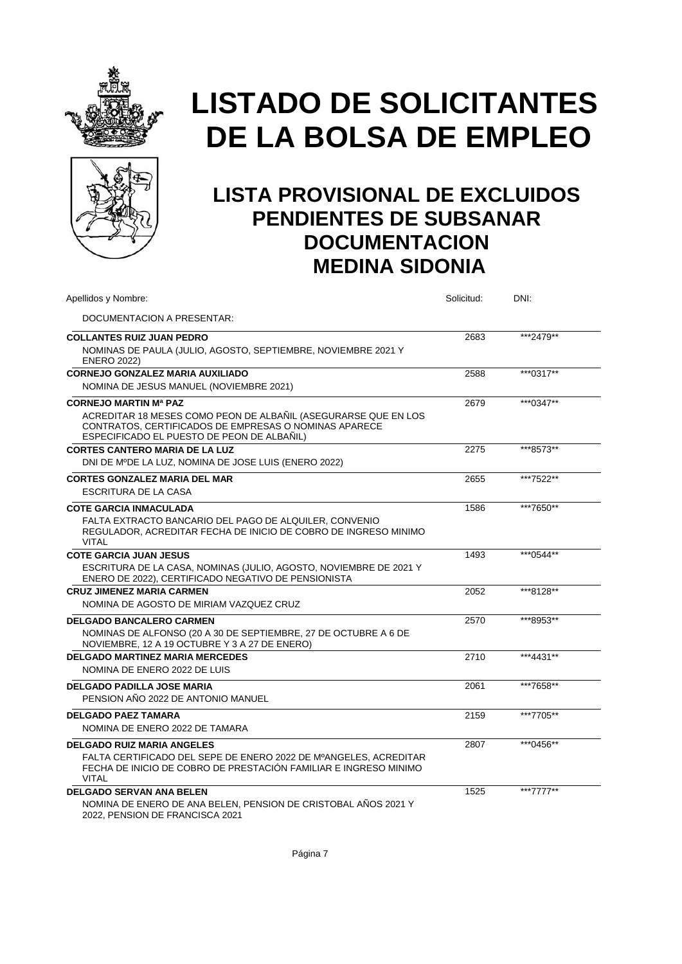



| Apellidos y Nombre:                                                                                                                                                   | Solicitud: | DNI:      |
|-----------------------------------------------------------------------------------------------------------------------------------------------------------------------|------------|-----------|
| DOCUMENTACION A PRESENTAR:                                                                                                                                            |            |           |
| <b>COLLANTES RUIZ JUAN PEDRO</b>                                                                                                                                      | 2683       | ***2479** |
| NOMINAS DE PAULA (JULIO, AGOSTO, SEPTIEMBRE, NOVIEMBRE 2021 Y<br><b>ENERO 2022)</b>                                                                                   |            |           |
| <b>CORNEJO GONZALEZ MARIA AUXILIADO</b>                                                                                                                               | 2588       | ***0317** |
| NOMINA DE JESUS MANUEL (NOVIEMBRE 2021)                                                                                                                               |            |           |
| <b>CORNEJO MARTIN Mª PAZ</b>                                                                                                                                          | 2679       | ***0347** |
| ACREDITAR 18 MESES COMO PEON DE ALBAÑIL (ASEGURARSE QUE EN LOS<br>CONTRATOS, CERTIFICADOS DE EMPRESAS O NOMINAS APARECE<br>ESPECIFICADO EL PUESTO DE PEON DE ALBAÑIL) |            |           |
| <b>CORTES CANTERO MARIA DE LA LUZ</b>                                                                                                                                 | 2275       | ***8573** |
| DNI DE MºDE LA LUZ, NOMINA DE JOSE LUIS (ENERO 2022)                                                                                                                  |            |           |
| <b>CORTES GONZALEZ MARIA DEL MAR</b>                                                                                                                                  | 2655       | ***7522** |
| ESCRITURA DE LA CASA                                                                                                                                                  |            |           |
| <b>COTE GARCIA INMACULADA</b>                                                                                                                                         | 1586       | ***7650** |
| FALTA EXTRACTO BANCARIO DEL PAGO DE ALQUILER, CONVENIO<br>REGULADOR, ACREDITAR FECHA DE INICIO DE COBRO DE INGRESO MINIMO<br><b>VITAL</b>                             |            |           |
| <b>COTE GARCIA JUAN JESUS</b>                                                                                                                                         | 1493       | ***0544** |
| ESCRITURA DE LA CASA, NOMINAS (JULIO, AGOSTO, NOVIEMBRE DE 2021 Y<br>ENERO DE 2022), CERTIFICADO NEGATIVO DE PENSIONISTA                                              |            |           |
| <b>CRUZ JIMENEZ MARIA CARMEN</b>                                                                                                                                      | 2052       | ***8128** |
| NOMINA DE AGOSTO DE MIRIAM VAZQUEZ CRUZ                                                                                                                               |            |           |
| <b>DELGADO BANCALERO CARMEN</b>                                                                                                                                       | 2570       | ***8953** |
| NOMINAS DE ALFONSO (20 A 30 DE SEPTIEMBRE, 27 DE OCTUBRE A 6 DE<br>NOVIEMBRE, 12 A 19 OCTUBRE Y 3 A 27 DE ENERO)                                                      |            |           |
| <b>DELGADO MARTINEZ MARIA MERCEDES</b>                                                                                                                                | 2710       | ***4431** |
| NOMINA DE ENERO 2022 DE LUIS                                                                                                                                          |            |           |
| <b>DELGADO PADILLA JOSE MARIA</b>                                                                                                                                     | 2061       | ***7658** |
| PENSION AÑO 2022 DE ANTONIO MANUEL                                                                                                                                    |            |           |
| <b>DELGADO PAEZ TAMARA</b>                                                                                                                                            | 2159       | ***7705** |
| NOMINA DE ENERO 2022 DE TAMARA                                                                                                                                        |            |           |
| <b>DELGADO RUIZ MARIA ANGELES</b>                                                                                                                                     | 2807       | ***0456** |
| FALTA CERTIFICADO DEL SEPE DE ENERO 2022 DE MºANGELES, ACREDITAR<br>FECHA DE INICIO DE COBRO DE PRESTACIÓN FAMILIAR E INGRESO MINIMO<br><b>VITAL</b>                  |            |           |
| <b>DELGADO SERVAN ANA BELEN</b>                                                                                                                                       | 1525       | ***7777** |
| NOMINA DE ENERO DE ANA BELEN, PENSION DE CRISTOBAL AÑOS 2021 Y<br>2022, PENSION DE FRANCISCA 2021                                                                     |            |           |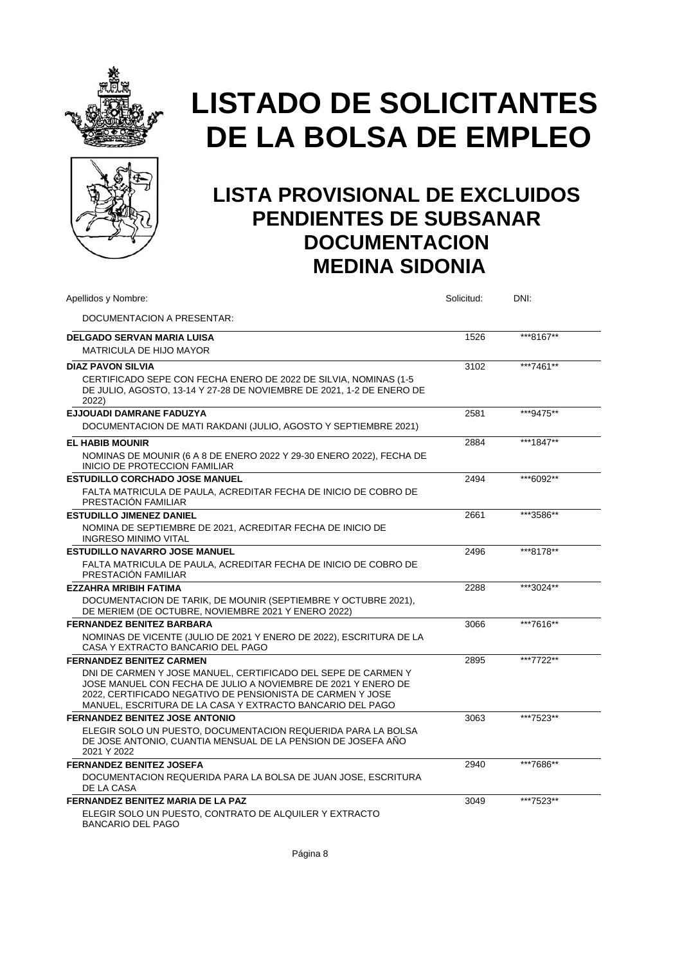



| Apellidos y Nombre:                                                                                                                                                                                                                                       | Solicitud: | DNI:      |  |
|-----------------------------------------------------------------------------------------------------------------------------------------------------------------------------------------------------------------------------------------------------------|------------|-----------|--|
| DOCUMENTACION A PRESENTAR:                                                                                                                                                                                                                                |            |           |  |
| <b>DELGADO SERVAN MARIA LUISA</b>                                                                                                                                                                                                                         | 1526       | ***8167** |  |
| MATRICULA DE HIJO MAYOR                                                                                                                                                                                                                                   |            |           |  |
| <b>DIAZ PAVON SILVIA</b>                                                                                                                                                                                                                                  | 3102       | ***7461** |  |
| CERTIFICADO SEPE CON FECHA ENERO DE 2022 DE SILVIA, NOMINAS (1-5<br>DE JULIO, AGOSTO, 13-14 Y 27-28 DE NOVIEMBRE DE 2021, 1-2 DE ENERO DE<br>2022)                                                                                                        |            |           |  |
| EJJOUADI DAMRANE FADUZYA                                                                                                                                                                                                                                  | 2581       | ***9475** |  |
| DOCUMENTACION DE MATI RAKDANI (JULIO, AGOSTO Y SEPTIEMBRE 2021)                                                                                                                                                                                           |            |           |  |
| <b>EL HABIB MOUNIR</b>                                                                                                                                                                                                                                    | 2884       | ***1847** |  |
| NOMINAS DE MOUNIR (6 A 8 DE ENERO 2022 Y 29-30 ENERO 2022), FECHA DE<br><b>INICIO DE PROTECCION FAMILIAR</b>                                                                                                                                              |            |           |  |
| ESTUDILLO CORCHADO JOSE MANUEL                                                                                                                                                                                                                            | 2494       | ***6092** |  |
| FALTA MATRICULA DE PAULA, ACREDITAR FECHA DE INICIO DE COBRO DE<br><b>PRESTACION FAMILIAR</b>                                                                                                                                                             |            |           |  |
| <b>ESTUDILLO JIMENEZ DANIEL</b>                                                                                                                                                                                                                           | 2661       | ***3586** |  |
| NOMINA DE SEPTIEMBRE DE 2021, ACREDITAR FECHA DE INICIO DE<br><b>INGRESO MINIMO VITAL</b>                                                                                                                                                                 |            |           |  |
| <b>ESTUDILLO NAVARRO JOSE MANUEL</b>                                                                                                                                                                                                                      | 2496       | ***8178** |  |
| FALTA MATRICULA DE PAULA. ACREDITAR FECHA DE INICIO DE COBRO DE<br>PRESTACION FAMILIAR                                                                                                                                                                    |            |           |  |
| <b>EZZAHRA MRIBIH FATIMA</b>                                                                                                                                                                                                                              | 2288       | ***3024** |  |
| DOCUMENTACION DE TARIK, DE MOUNIR (SEPTIEMBRE Y OCTUBRE 2021),<br>DE MERIEM (DE OCTUBRE, NOVIEMBRE 2021 Y ENERO 2022)                                                                                                                                     |            |           |  |
| <b>FERNANDEZ BENITEZ BARBARA</b>                                                                                                                                                                                                                          | 3066       | ***7616** |  |
| NOMINAS DE VICENTE (JULIO DE 2021 Y ENERO DE 2022), ESCRITURA DE LA<br>CASA Y EXTRACTO BANCARIO DEL PAGO                                                                                                                                                  |            |           |  |
| <b>FERNANDEZ BENITEZ CARMEN</b>                                                                                                                                                                                                                           | 2895       | ***7722** |  |
| DNI DE CARMEN Y JOSE MANUEL, CERTIFICADO DEL SEPE DE CARMEN Y<br>JOSE MANUEL CON FECHA DE JULIO A NOVIEMBRE DE 2021 Y ENERO DE<br>2022. CERTIFICADO NEGATIVO DE PENSIONISTA DE CARMEN Y JOSE<br>MANUEL, ESCRITURA DE LA CASA Y EXTRACTO BANCARIO DEL PAGO |            |           |  |
| <b>FERNANDEZ BENITEZ JOSE ANTONIO</b>                                                                                                                                                                                                                     | 3063       | ***7523** |  |
| ELEGIR SOLO UN PUESTO, DOCUMENTACION REQUERIDA PARA LA BOLSA<br>DE JOSE ANTONIO, CUANTIA MENSUAL DE LA PENSION DE JOSEFA AÑO<br>2021 Y 2022                                                                                                               |            |           |  |
| <b>FERNANDEZ BENITEZ JOSEFA</b>                                                                                                                                                                                                                           | 2940       | ***7686** |  |
| DOCUMENTACION REQUERIDA PARA LA BOLSA DE JUAN JOSE. ESCRITURA<br>DE LA CASA                                                                                                                                                                               |            |           |  |
| <b>FERNANDEZ BENITEZ MARIA DE LA PAZ</b>                                                                                                                                                                                                                  | 3049       | ***7523** |  |
| ELEGIR SOLO UN PUESTO, CONTRATO DE ALQUILER Y EXTRACTO<br><b>BANCARIO DEL PAGO</b>                                                                                                                                                                        |            |           |  |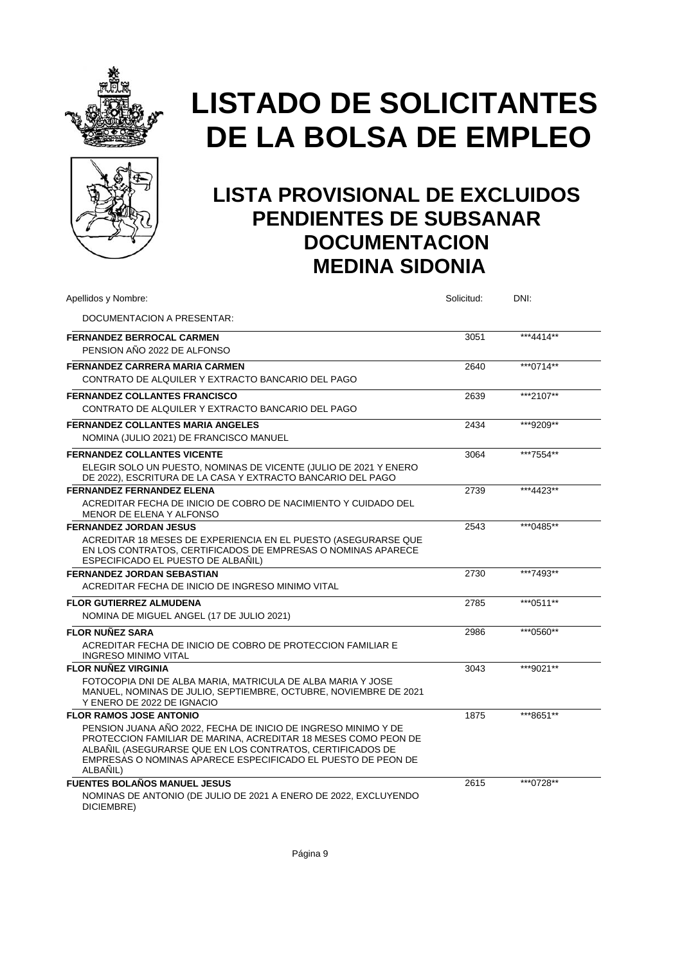



| Apellidos y Nombre:                                                                                                                                                                                                                                                                                         | Solicitud: | DNI:       |
|-------------------------------------------------------------------------------------------------------------------------------------------------------------------------------------------------------------------------------------------------------------------------------------------------------------|------------|------------|
| DOCUMENTACION A PRESENTAR:                                                                                                                                                                                                                                                                                  |            |            |
| <b>FERNANDEZ BERROCAL CARMEN</b><br>PENSION AÑO 2022 DE ALFONSO                                                                                                                                                                                                                                             | 3051       | ***4414**  |
| <b>FERNANDEZ CARRERA MARIA CARMEN</b><br>CONTRATO DE ALQUILER Y EXTRACTO BANCARIO DEL PAGO                                                                                                                                                                                                                  | 2640       | *** 0714** |
| <b>FERNANDEZ COLLANTES FRANCISCO</b><br>CONTRATO DE ALQUILER Y EXTRACTO BANCARIO DEL PAGO                                                                                                                                                                                                                   | 2639       | ***2107**  |
| <b>FERNANDEZ COLLANTES MARIA ANGELES</b><br>NOMINA (JULIO 2021) DE FRANCISCO MANUEL                                                                                                                                                                                                                         | 2434       | ***9209**  |
| <b>FERNANDEZ COLLANTES VICENTE</b><br>ELEGIR SOLO UN PUESTO, NOMINAS DE VICENTE (JULIO DE 2021 Y ENERO<br>DE 2022), ESCRITURA DE LA CASA Y EXTRACTO BANCARIO DEL PAGO                                                                                                                                       | 3064       | ***7554**  |
| <b>FERNANDEZ FERNANDEZ ELENA</b><br>ACREDITAR FECHA DE INICIO DE COBRO DE NACIMIENTO Y CUIDADO DEL<br>MENOR DE ELENA Y ALFONSO                                                                                                                                                                              | 2739       | ***4423**  |
| <b>FERNANDEZ JORDAN JESUS</b><br>ACREDITAR 18 MESES DE EXPERIENCIA EN EL PUESTO (ASEGURARSE QUE<br>EN LOS CONTRATOS, CERTIFICADOS DE EMPRESAS O NOMINAS APARECE<br>ESPECIFICADO EL PUESTO DE ALBAÑIL)                                                                                                       | 2543       | ***0485**  |
| <b>FERNANDEZ JORDAN SEBASTIAN</b><br>ACREDITAR FECHA DE INICIO DE INGRESO MINIMO VITAL                                                                                                                                                                                                                      | 2730       | ***7493**  |
| <b>FLOR GUTIERREZ ALMUDENA</b><br>NOMINA DE MIGUEL ANGEL (17 DE JULIO 2021)                                                                                                                                                                                                                                 | 2785       | ***0511**  |
| <b>FLOR NUÑEZ SARA</b><br>ACREDITAR FECHA DE INICIO DE COBRO DE PROTECCION FAMILIAR E<br><b>INGRESO MINIMO VITAL</b>                                                                                                                                                                                        | 2986       | ***0560**  |
| <b>FLOR NUÑEZ VIRGINIA</b><br>FOTOCOPIA DNI DE ALBA MARIA. MATRICULA DE ALBA MARIA Y JOSE<br>MANUEL, NOMINAS DE JULIO, SEPTIEMBRE, OCTUBRE, NOVIEMBRE DE 2021<br>Y ENERO DE 2022 DE IGNACIO                                                                                                                 | 3043       | ***9021**  |
| <b>FLOR RAMOS JOSE ANTONIO</b><br>PENSION JUANA AÑO 2022. FECHA DE INICIO DE INGRESO MINIMO Y DE<br>PROTECCION FAMILIAR DE MARINA, ACREDITAR 18 MESES COMO PEON DE<br>ALBAÑIL (ASEGURARSE QUE EN LOS CONTRATOS, CERTIFICADOS DE<br>EMPRESAS O NOMINAS APARECE ESPECIFICADO EL PUESTO DE PEON DE<br>ALBAÑIL) | 1875       | ***8651**  |
| <b>FUENTES BOLAÑOS MANUEL JESUS</b><br>NOMINAS DE ANTONIO (DE JULIO DE 2021 A ENERO DE 2022, EXCLUYENDO<br>DICIEMBRE)                                                                                                                                                                                       | 2615       | ***0728**  |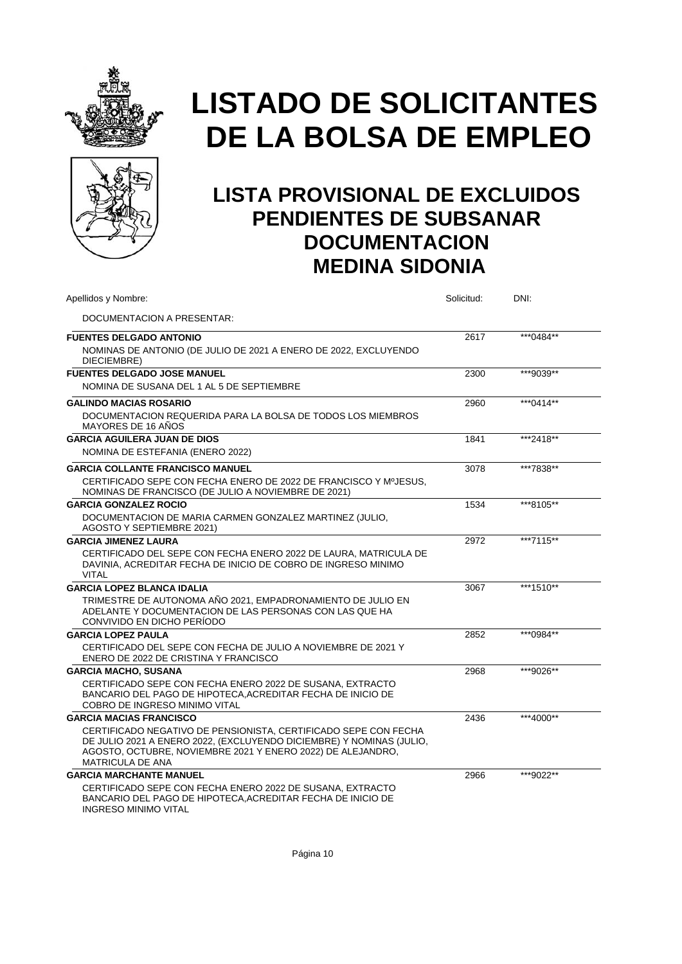



| Apellidos y Nombre:                                                                                                                                                                                                               | Solicitud: | DNI:       |  |
|-----------------------------------------------------------------------------------------------------------------------------------------------------------------------------------------------------------------------------------|------------|------------|--|
| DOCUMENTACION A PRESENTAR:                                                                                                                                                                                                        |            |            |  |
| <b>FUENTES DELGADO ANTONIO</b>                                                                                                                                                                                                    | 2617       | ***0484**  |  |
| NOMINAS DE ANTONIO (DE JULIO DE 2021 A ENERO DE 2022, EXCLUYENDO<br>DIECIEMBRE)                                                                                                                                                   |            |            |  |
| <b>FUENTES DELGADO JOSE MANUEL</b>                                                                                                                                                                                                | 2300       | ***9039**  |  |
| NOMINA DE SUSANA DEL 1 AL 5 DE SEPTIEMBRE                                                                                                                                                                                         |            |            |  |
| <b>GALINDO MACIAS ROSARIO</b>                                                                                                                                                                                                     | 2960       | ***0414**  |  |
| DOCUMENTACION REQUERIDA PARA LA BOLSA DE TODOS LOS MIEMBROS<br>MAYORES DE 16 AÑOS                                                                                                                                                 |            |            |  |
| <b>GARCIA AGUILERA JUAN DE DIOS</b>                                                                                                                                                                                               | 1841       | ***2418**  |  |
| NOMINA DE ESTEFANIA (ENERO 2022)                                                                                                                                                                                                  |            |            |  |
| <b>GARCIA COLLANTE FRANCISCO MANUEL</b>                                                                                                                                                                                           | 3078       | ***7838**  |  |
| CERTIFICADO SEPE CON FECHA ENERO DE 2022 DE FRANCISCO Y MºJESUS.<br>NOMINAS DE FRANCISCO (DE JULIO A NOVIEMBRE DE 2021)                                                                                                           |            |            |  |
| <b>GARCIA GONZALEZ ROCIO</b>                                                                                                                                                                                                      | 1534       | ***8105**  |  |
| DOCUMENTACION DE MARIA CARMEN GONZALEZ MARTINEZ (JULIO,<br>AGOSTO Y SEPTIEMBRE 2021)                                                                                                                                              |            |            |  |
| <b>GARCIA JIMENEZ LAURA</b>                                                                                                                                                                                                       | 2972       | ***7115**  |  |
| CERTIFICADO DEL SEPE CON FECHA ENERO 2022 DE LAURA, MATRICULA DE<br>DAVINIA. ACREDITAR FECHA DE INICIO DE COBRO DE INGRESO MINIMO<br><b>VITAL</b>                                                                                 |            |            |  |
| <b>GARCIA LOPEZ BLANCA IDALIA</b>                                                                                                                                                                                                 | 3067       | ***1510**  |  |
| TRIMESTRE DE AUTONOMA AÑO 2021, EMPADRONAMIENTO DE JULIO EN<br>ADELANTE Y DOCUMENTACION DE LAS PERSONAS CON LAS QUE HA<br>CONVIVIDO EN DICHO PERIODO                                                                              |            |            |  |
| <b>GARCIA LOPEZ PAULA</b>                                                                                                                                                                                                         | 2852       | *** 0984** |  |
| CERTIFICADO DEL SEPE CON FECHA DE JULIO A NOVIEMBRE DE 2021 Y<br>ENERO DE 2022 DE CRISTINA Y FRANCISCO                                                                                                                            |            |            |  |
| <b>GARCIA MACHO, SUSANA</b>                                                                                                                                                                                                       | 2968       | ***9026**  |  |
| CERTIFICADO SEPE CON FECHA ENERO 2022 DE SUSANA, EXTRACTO<br>BANCARIO DEL PAGO DE HIPOTECA, ACREDITAR FECHA DE INICIO DE<br>COBRO DE INGRESO MINIMO VITAL                                                                         |            |            |  |
| <b>GARCIA MACIAS FRANCISCO</b>                                                                                                                                                                                                    | 2436       | ***4000**  |  |
| CERTIFICADO NEGATIVO DE PENSIONISTA. CERTIFICADO SEPE CON FECHA<br>DE JULIO 2021 A ENERO 2022, (EXCLUYENDO DICIEMBRE) Y NOMINAS (JULIO,<br>AGOSTO, OCTUBRE, NOVIEMBRE 2021 Y ENERO 2022) DE ALEJANDRO,<br><b>MATRICULA DE ANA</b> |            |            |  |
| <b>GARCIA MARCHANTE MANUEL</b>                                                                                                                                                                                                    | 2966       | ***9022**  |  |
| CERTIFICADO SEPE CON FECHA ENERO 2022 DE SUSANA. EXTRACTO<br>BANCARIO DEL PAGO DE HIPOTECA, ACREDITAR FECHA DE INICIO DE<br><b>INGRESO MINIMO VITAL</b>                                                                           |            |            |  |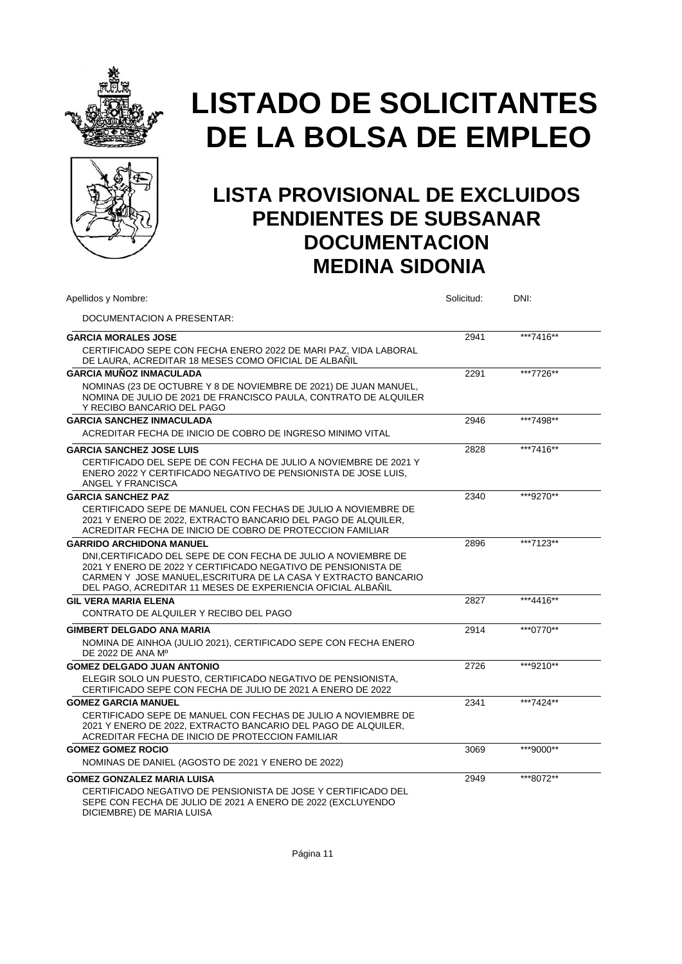



| Apellidos y Nombre:                                                                                                                                                                                                                                             | Solicitud: | DNI:      |  |
|-----------------------------------------------------------------------------------------------------------------------------------------------------------------------------------------------------------------------------------------------------------------|------------|-----------|--|
| DOCUMENTACION A PRESENTAR:                                                                                                                                                                                                                                      |            |           |  |
| <b>GARCIA MORALES JOSE</b>                                                                                                                                                                                                                                      | 2941       | ***7416** |  |
| CERTIFICADO SEPE CON FECHA ENERO 2022 DE MARI PAZ, VIDA LABORAL<br>DE LAURA, ACREDITAR 18 MESES COMO OFICIAL DE ALBAÑIL                                                                                                                                         |            |           |  |
| <b>GARCIA MUÑOZ INMACULADA</b>                                                                                                                                                                                                                                  | 2291       | ***7726** |  |
| NOMINAS (23 DE OCTUBRE Y 8 DE NOVIEMBRE DE 2021) DE JUAN MANUEL,<br>NOMINA DE JULIO DE 2021 DE FRANCISCO PAULA, CONTRATO DE ALQUILER<br>Y RECIBO BANCARIO DEL PAGO                                                                                              |            |           |  |
| <b>GARCIA SANCHEZ INMACULADA</b>                                                                                                                                                                                                                                | 2946       | ***7498** |  |
| ACREDITAR FECHA DE INICIO DE COBRO DE INGRESO MINIMO VITAL                                                                                                                                                                                                      |            |           |  |
| <b>GARCIA SANCHEZ JOSE LUIS</b>                                                                                                                                                                                                                                 | 2828       | ***7416** |  |
| CERTIFICADO DEL SEPE DE CON FECHA DE JULIO A NOVIEMBRE DE 2021 Y<br>ENERO 2022 Y CERTIFICADO NEGATIVO DE PENSIONISTA DE JOSE LUIS,<br>ANGEL Y FRANCISCA                                                                                                         |            |           |  |
| <b>GARCIA SANCHEZ PAZ</b>                                                                                                                                                                                                                                       | 2340       | ***9270** |  |
| CERTIFICADO SEPE DE MANUEL CON FECHAS DE JULIO A NOVIEMBRE DE<br>2021 Y ENERO DE 2022, EXTRACTO BANCARIO DEL PAGO DE ALQUILER,<br>ACREDITAR FECHA DE INICIO DE COBRO DE PROTECCION FAMILIAR                                                                     |            |           |  |
| <b>GARRIDO ARCHIDONA MANUEL</b>                                                                                                                                                                                                                                 | 2896       | ***7123** |  |
| DNI.CERTIFICADO DEL SEPE DE CON FECHA DE JULIO A NOVIEMBRE DE<br>2021 Y ENERO DE 2022 Y CERTIFICADO NEGATIVO DE PENSIONISTA DE<br>CARMEN Y JOSE MANUEL, ESCRITURA DE LA CASA Y EXTRACTO BANCARIO<br>DEL PAGO, ACREDITAR 11 MESES DE EXPERIENCIA OFICIAL ALBAÑIL |            |           |  |
| <b>GIL VERA MARIA ELENA</b>                                                                                                                                                                                                                                     | 2827       | ***4416** |  |
| CONTRATO DE ALQUILER Y RECIBO DEL PAGO                                                                                                                                                                                                                          |            |           |  |
| <b>GIMBERT DELGADO ANA MARIA</b>                                                                                                                                                                                                                                | 2914       | ***0770** |  |
| NOMINA DE AINHOA (JULIO 2021), CERTIFICADO SEPE CON FECHA ENERO<br>DE 2022 DE ANA Mº                                                                                                                                                                            |            |           |  |
| <b>GOMEZ DELGADO JUAN ANTONIO</b>                                                                                                                                                                                                                               | 2726       | ***9210** |  |
| ELEGIR SOLO UN PUESTO, CERTIFICADO NEGATIVO DE PENSIONISTA,<br>CERTIFICADO SEPE CON FECHA DE JULIO DE 2021 A ENERO DE 2022                                                                                                                                      |            |           |  |
| <b>GOMEZ GARCIA MANUEL</b>                                                                                                                                                                                                                                      | 2341       | ***7424** |  |
| CERTIFICADO SEPE DE MANUEL CON FECHAS DE JULIO A NOVIEMBRE DE<br>2021 Y ENERO DE 2022, EXTRACTO BANCARIO DEL PAGO DE ALQUILER,<br>ACREDITAR FECHA DE INICIO DE PROTECCION FAMILIAR                                                                              |            |           |  |
| <b>GOMEZ GOMEZ ROCIO</b>                                                                                                                                                                                                                                        | 3069       | ***9000** |  |
| NOMINAS DE DANIEL (AGOSTO DE 2021 Y ENERO DE 2022)                                                                                                                                                                                                              |            |           |  |
| <b>GOMEZ GONZALEZ MARIA LUISA</b>                                                                                                                                                                                                                               | 2949       | ***8072** |  |
| CERTIFICADO NEGATIVO DE PENSIONISTA DE JOSE Y CERTIFICADO DEL<br>SEPE CON FECHA DE JULIO DE 2021 A ENERO DE 2022 (EXCLUYENDO<br>DICIEMBRE) DE MARIA LUISA                                                                                                       |            |           |  |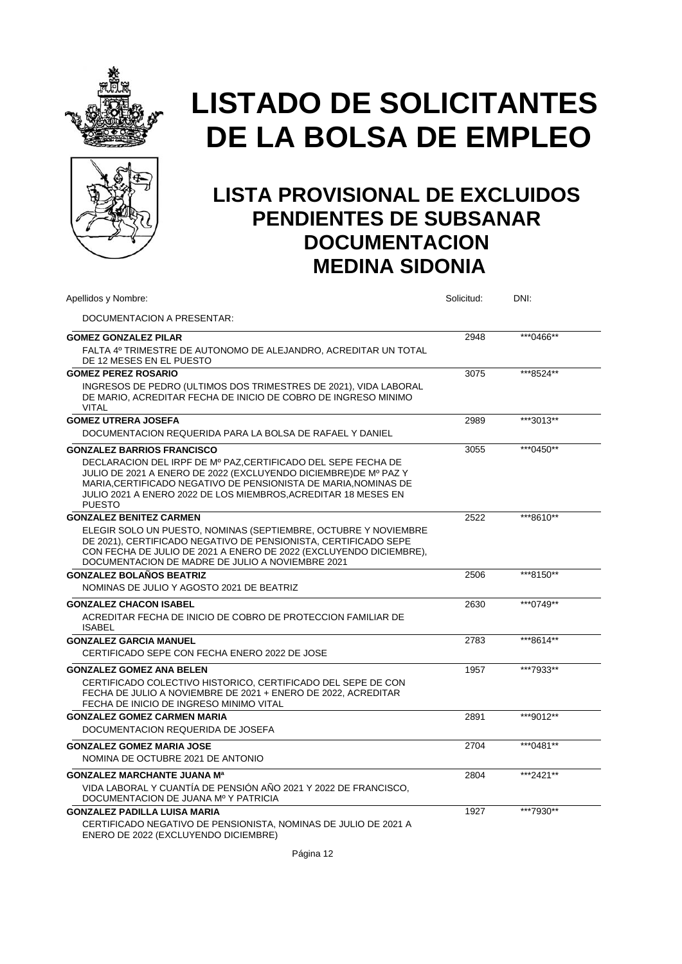



| Apellidos y Nombre:                                                                                                                                                                                                                                                                   | Solicitud: | DNI:      |  |
|---------------------------------------------------------------------------------------------------------------------------------------------------------------------------------------------------------------------------------------------------------------------------------------|------------|-----------|--|
| DOCUMENTACION A PRESENTAR:                                                                                                                                                                                                                                                            |            |           |  |
| <b>GOMEZ GONZALEZ PILAR</b>                                                                                                                                                                                                                                                           | 2948       | ***0466** |  |
| FALTA 4º TRIMESTRE DE AUTONOMO DE ALEJANDRO, ACREDITAR UN TOTAL<br>DE 12 MESES EN EL PUESTO                                                                                                                                                                                           |            |           |  |
| <b>GOMEZ PEREZ ROSARIO</b>                                                                                                                                                                                                                                                            | 3075       | ***8524** |  |
| INGRESOS DE PEDRO (ULTIMOS DOS TRIMESTRES DE 2021), VIDA LABORAL<br>DE MARIO, ACREDITAR FECHA DE INICIO DE COBRO DE INGRESO MINIMO<br><b>VITAL</b>                                                                                                                                    |            |           |  |
| <b>GOMEZ UTRERA JOSEFA</b>                                                                                                                                                                                                                                                            | 2989       | ***3013** |  |
| DOCUMENTACION REQUERIDA PARA LA BOLSA DE RAFAEL Y DANIEL                                                                                                                                                                                                                              |            |           |  |
| <b>GONZALEZ BARRIOS FRANCISCO</b>                                                                                                                                                                                                                                                     | 3055       | ***0450** |  |
| DECLARACION DEL IRPF DE Mº PAZ, CERTIFICADO DEL SEPE FECHA DE<br>JULIO DE 2021 A ENERO DE 2022 (EXCLUYENDO DICIEMBRE) DE Mº PAZ Y<br>MARIA.CERTIFICADO NEGATIVO DE PENSIONISTA DE MARIA.NOMINAS DE<br>JULIO 2021 A ENERO 2022 DE LOS MIEMBROS, ACREDITAR 18 MESES EN<br><b>PUESTO</b> |            |           |  |
| <b>GONZALEZ BENITEZ CARMEN</b>                                                                                                                                                                                                                                                        | 2522       | ***8610** |  |
| ELEGIR SOLO UN PUESTO, NOMINAS (SEPTIEMBRE, OCTUBRE Y NOVIEMBRE<br>DE 2021), CERTIFICADO NEGATIVO DE PENSIONISTA, CERTIFICADO SEPE<br>CON FECHA DE JULIO DE 2021 A ENERO DE 2022 (EXCLUYENDO DICIEMBRE),<br>DOCUMENTACION DE MADRE DE JULIO A NOVIEMBRE 2021                          |            |           |  |
| <b>GONZALEZ BOLAÑOS BEATRIZ</b>                                                                                                                                                                                                                                                       | 2506       | ***8150** |  |
| NOMINAS DE JULIO Y AGOSTO 2021 DE BEATRIZ                                                                                                                                                                                                                                             |            |           |  |
| <b>GONZALEZ CHACON ISABEL</b>                                                                                                                                                                                                                                                         | 2630       | ***0749** |  |
| ACREDITAR FECHA DE INICIO DE COBRO DE PROTECCION FAMILIAR DE<br><b>ISABEL</b>                                                                                                                                                                                                         |            |           |  |
| <b>GONZALEZ GARCIA MANUEL</b>                                                                                                                                                                                                                                                         | 2783       | ***8614** |  |
| CERTIFICADO SEPE CON FECHA ENERO 2022 DE JOSE                                                                                                                                                                                                                                         |            |           |  |
| <b>GONZALEZ GOMEZ ANA BELEN</b>                                                                                                                                                                                                                                                       | 1957       | ***7933** |  |
| CERTIFICADO COLECTIVO HISTORICO, CERTIFICADO DEL SEPE DE CON<br>FECHA DE JULIO A NOVIEMBRE DE 2021 + ENERO DE 2022. ACREDITAR<br>FECHA DE INICIO DE INGRESO MINIMO VITAL                                                                                                              |            |           |  |
| <b>GONZALEZ GOMEZ CARMEN MARIA</b>                                                                                                                                                                                                                                                    | 2891       | ***9012** |  |
| DOCUMENTACION REQUERIDA DE JOSEFA                                                                                                                                                                                                                                                     |            |           |  |
| <b>GONZALEZ GOMEZ MARIA JOSE</b>                                                                                                                                                                                                                                                      | 2704       | ***0481** |  |
| NOMINA DE OCTUBRE 2021 DE ANTONIO                                                                                                                                                                                                                                                     |            |           |  |
| <b>GONZALEZ MARCHANTE JUANA Ma</b>                                                                                                                                                                                                                                                    | 2804       | ***2421** |  |
| VIDA LABORAL Y CUANTÍA DE PENSIÓN AÑO 2021 Y 2022 DE FRANCISCO,<br>DOCUMENTACION DE JUANA Mº Y PATRICIA                                                                                                                                                                               |            |           |  |
| <b>GONZALEZ PADILLA LUISA MARIA</b>                                                                                                                                                                                                                                                   | 1927       | ***7930** |  |
| CERTIFICADO NEGATIVO DE PENSIONISTA, NOMINAS DE JULIO DE 2021 A<br>ENERO DE 2022 (EXCLUYENDO DICIEMBRE)                                                                                                                                                                               |            |           |  |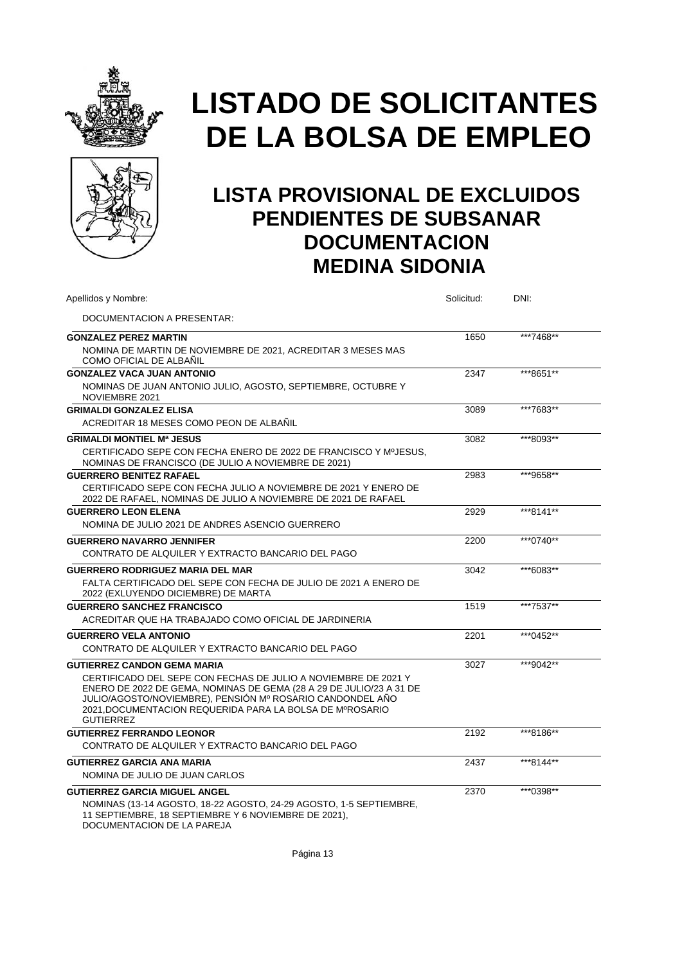



### **LISTA PROVISIONAL DE EXCLUIDOS PENDIENTES DE SUBSANAR DOCUMENTACION MEDINA SIDONIA**

| Apellidos y Nombre:                                                                                                                                                                                                                                                                | Solicitud: | DNI:      |
|------------------------------------------------------------------------------------------------------------------------------------------------------------------------------------------------------------------------------------------------------------------------------------|------------|-----------|
| DOCUMENTACION A PRESENTAR:                                                                                                                                                                                                                                                         |            |           |
| <b>GONZALEZ PEREZ MARTIN</b>                                                                                                                                                                                                                                                       | 1650       | ***7468** |
| NOMINA DE MARTIN DE NOVIEMBRE DE 2021, ACREDITAR 3 MESES MAS<br>COMO OFICIAL DE ALBAÑIL                                                                                                                                                                                            |            |           |
| <b>GONZALEZ VACA JUAN ANTONIO</b>                                                                                                                                                                                                                                                  | 2347       | ***8651** |
| NOMINAS DE JUAN ANTONIO JULIO, AGOSTO, SEPTIEMBRE, OCTUBRE Y<br>NOVIEMBRE 2021                                                                                                                                                                                                     |            |           |
| <b>GRIMALDI GONZALEZ ELISA</b>                                                                                                                                                                                                                                                     | 3089       | ***7683** |
| ACREDITAR 18 MESES COMO PEON DE ALBAÑIL                                                                                                                                                                                                                                            |            |           |
| <b>GRIMALDI MONTIEL Mª JESUS</b>                                                                                                                                                                                                                                                   | 3082       | ***8093** |
| CERTIFICADO SEPE CON FECHA ENERO DE 2022 DE FRANCISCO Y MºJESUS.<br>NOMINAS DE FRANCISCO (DE JULIO A NOVIEMBRE DE 2021)                                                                                                                                                            |            |           |
| <b>GUERRERO BENITEZ RAFAEL</b>                                                                                                                                                                                                                                                     | 2983       | ***9658** |
| CERTIFICADO SEPE CON FECHA JULIO A NOVIEMBRE DE 2021 Y ENERO DE<br>2022 DE RAFAEL, NOMINAS DE JULIO A NOVIEMBRE DE 2021 DE RAFAEL                                                                                                                                                  |            |           |
| <b>GUERRERO LEON ELENA</b>                                                                                                                                                                                                                                                         | 2929       | ***8141** |
| NOMINA DE JULIO 2021 DE ANDRES ASENCIO GUERRERO                                                                                                                                                                                                                                    |            |           |
| <b>GUERRERO NAVARRO JENNIFER</b>                                                                                                                                                                                                                                                   | 2200       | ***0740** |
| CONTRATO DE ALQUILER Y EXTRACTO BANCARIO DEL PAGO                                                                                                                                                                                                                                  |            |           |
| <b>GUERRERO RODRIGUEZ MARIA DEL MAR</b>                                                                                                                                                                                                                                            | 3042       | ***6083** |
| FALTA CERTIFICADO DEL SEPE CON FECHA DE JULIO DE 2021 A ENERO DE<br>2022 (EXLUYENDO DICIEMBRE) DE MARTA                                                                                                                                                                            |            |           |
| <b>GUERRERO SANCHEZ FRANCISCO</b>                                                                                                                                                                                                                                                  | 1519       | ***7537** |
| ACREDITAR QUE HA TRABAJADO COMO OFICIAL DE JARDINERIA                                                                                                                                                                                                                              |            |           |
| <b>GUERRERO VELA ANTONIO</b>                                                                                                                                                                                                                                                       | 2201       | ***0452** |
| CONTRATO DE ALQUILER Y EXTRACTO BANCARIO DEL PAGO                                                                                                                                                                                                                                  |            |           |
| <b>GUTIERREZ CANDON GEMA MARIA</b>                                                                                                                                                                                                                                                 | 3027       | ***9042** |
| CERTIFICADO DEL SEPE CON FECHAS DE JULIO A NOVIEMBRE DE 2021 Y<br>ENERO DE 2022 DE GEMA, NOMINAS DE GEMA (28 A 29 DE JULIO/23 A 31 DE<br>JULIO/AGOSTO/NOVIEMBRE), PENSIÓN Mº ROSARIO CANDONDEL AÑO<br>2021. DOCUMENTACION REQUERIDA PARA LA BOLSA DE MºROSARIO<br><b>GUTIERREZ</b> |            |           |
| <b>GUTIERREZ FERRANDO LEONOR</b>                                                                                                                                                                                                                                                   | 2192       | ***8186** |
| CONTRATO DE ALQUILER Y EXTRACTO BANCARIO DEL PAGO                                                                                                                                                                                                                                  |            |           |
| <b>GUTIERREZ GARCIA ANA MARIA</b>                                                                                                                                                                                                                                                  | 2437       | ***8144** |
| NOMINA DE JULIO DE JUAN CARLOS                                                                                                                                                                                                                                                     |            |           |
| <b>GUTIERREZ GARCIA MIGUEL ANGEL</b><br>NOMINAS (13-14 AGOSTO, 18-22 AGOSTO, 24-29 AGOSTO, 1-5 SEPTIEMBRE,                                                                                                                                                                         | 2370       | ***0398** |
| 11 SEPTIEMBRE, 18 SEPTIEMBRE Y 6 NOVIEMBRE DE 2021),<br>DOCUMENTACION DE LA PAREJA                                                                                                                                                                                                 |            |           |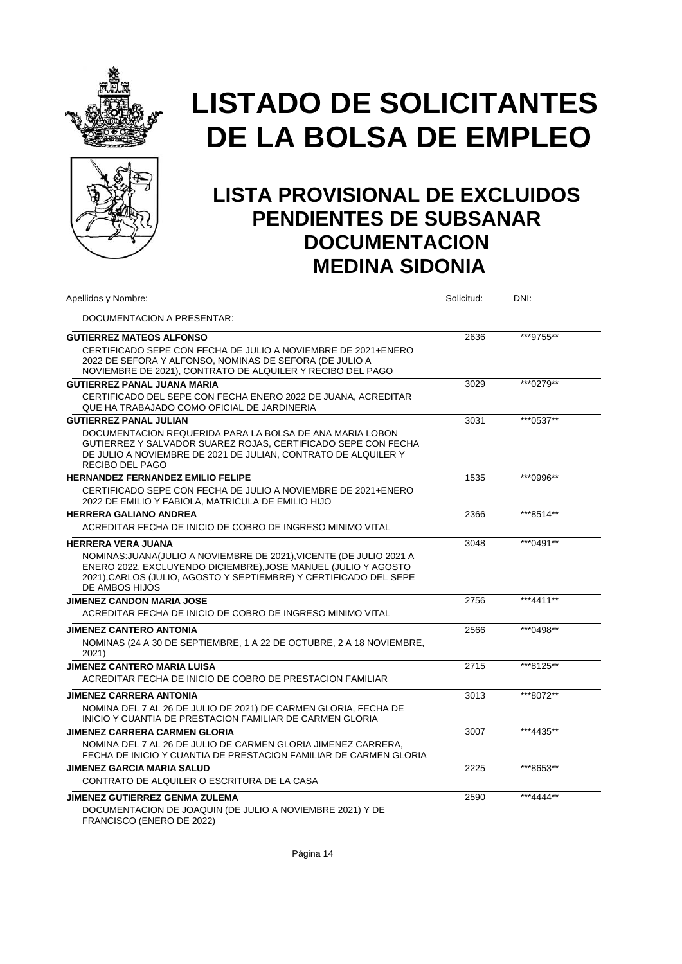



| Apellidos y Nombre:                                                                                                                                                                                                          | Solicitud: | DNI:       |
|------------------------------------------------------------------------------------------------------------------------------------------------------------------------------------------------------------------------------|------------|------------|
| DOCUMENTACION A PRESENTAR:                                                                                                                                                                                                   |            |            |
| <b>GUTIERREZ MATEOS ALFONSO</b>                                                                                                                                                                                              | 2636       | ***9755**  |
| CERTIFICADO SEPE CON FECHA DE JULIO A NOVIEMBRE DE 2021+ENERO<br>2022 DE SEFORA Y ALFONSO, NOMINAS DE SEFORA (DE JULIO A<br>NOVIEMBRE DE 2021), CONTRATO DE ALQUILER Y RECIBO DEL PAGO                                       |            |            |
| <b>GUTIERREZ PANAL JUANA MARIA</b>                                                                                                                                                                                           | 3029       | ***0279**  |
| CERTIFICADO DEL SEPE CON FECHA ENERO 2022 DE JUANA, ACREDITAR<br>QUE HA TRABAJADO COMO OFICIAL DE JARDINERIA                                                                                                                 |            |            |
| <b>GUTIERREZ PANAL JULIAN</b>                                                                                                                                                                                                | 3031       | ***0537**  |
| DOCUMENTACION REQUERIDA PARA LA BOLSA DE ANA MARIA LOBON<br>GUTIERREZ Y SALVADOR SUAREZ ROJAS, CERTIFICADO SEPE CON FECHA<br>DE JULIO A NOVIEMBRE DE 2021 DE JULIAN, CONTRATO DE ALQUILER Y<br><b>RECIBO DEL PAGO</b>        |            |            |
| <b>HERNANDEZ FERNANDEZ EMILIO FELIPE</b>                                                                                                                                                                                     | 1535       | ***0996**  |
| CERTIFICADO SEPE CON FECHA DE JULIO A NOVIEMBRE DE 2021+ENERO<br>2022 DE EMILIO Y FABIOLA, MATRICULA DE EMILIO HIJO                                                                                                          |            |            |
| <b>HERRERA GALIANO ANDREA</b>                                                                                                                                                                                                | 2366       | ***8514**  |
| ACREDITAR FECHA DE INICIO DE COBRO DE INGRESO MINIMO VITAL                                                                                                                                                                   |            |            |
| <b>HERRERA VERA JUANA</b>                                                                                                                                                                                                    | 3048       | ***0491**  |
| NOMINAS: JUANA(JULIO A NOVIEMBRE DE 2021), VICENTE (DE JULIO 2021 A<br>ENERO 2022, EXCLUYENDO DICIEMBRE), JOSE MANUEL (JULIO Y AGOSTO<br>2021), CARLOS (JULIO, AGOSTO Y SEPTIEMBRE) Y CERTIFICADO DEL SEPE<br>DE AMBOS HIJOS |            |            |
| <b>JIMENEZ CANDON MARIA JOSE</b>                                                                                                                                                                                             | 2756       | ***4411**  |
| ACREDITAR FECHA DE INICIO DE COBRO DE INGRESO MINIMO VITAL                                                                                                                                                                   |            |            |
| <b>JIMENEZ CANTERO ANTONIA</b>                                                                                                                                                                                               | 2566       | *** 0498** |
| NOMINAS (24 A 30 DE SEPTIEMBRE, 1 A 22 DE OCTUBRE, 2 A 18 NOVIEMBRE,<br>2021)                                                                                                                                                |            |            |
| <b>JIMENEZ CANTERO MARIA LUISA</b>                                                                                                                                                                                           | 2715       | ***8125**  |
| ACREDITAR FECHA DE INICIO DE COBRO DE PRESTACION FAMILIAR                                                                                                                                                                    |            |            |
| <b>JIMENEZ CARRERA ANTONIA</b>                                                                                                                                                                                               | 3013       | ***8072**  |
| NOMINA DEL 7 AL 26 DE JULIO DE 2021) DE CARMEN GLORIA, FECHA DE<br>INICIO Y CUANTIA DE PRESTACION FAMILIAR DE CARMEN GLORIA                                                                                                  |            |            |
| JIMENEZ CARRERA CARMEN GLORIA                                                                                                                                                                                                | 3007       | ***4435**  |
| NOMINA DEL 7 AL 26 DE JULIO DE CARMEN GLORIA JIMENEZ CARRERA.<br>FECHA DE INICIO Y CUANTIA DE PRESTACION FAMILIAR DE CARMEN GLORIA                                                                                           |            |            |
| <b>JIMENEZ GARCIA MARIA SALUD</b>                                                                                                                                                                                            | 2225       | ***8653**  |
| CONTRATO DE ALQUILER O ESCRITURA DE LA CASA                                                                                                                                                                                  |            |            |
| <b>JIMENEZ GUTIERREZ GENMA ZULEMA</b><br>DOCUMENTACION DE JOAQUIN (DE JULIO A NOVIEMBRE 2021) Y DE<br>FRANCISCO (ENERO DE 2022)                                                                                              | 2590       | ***4444**  |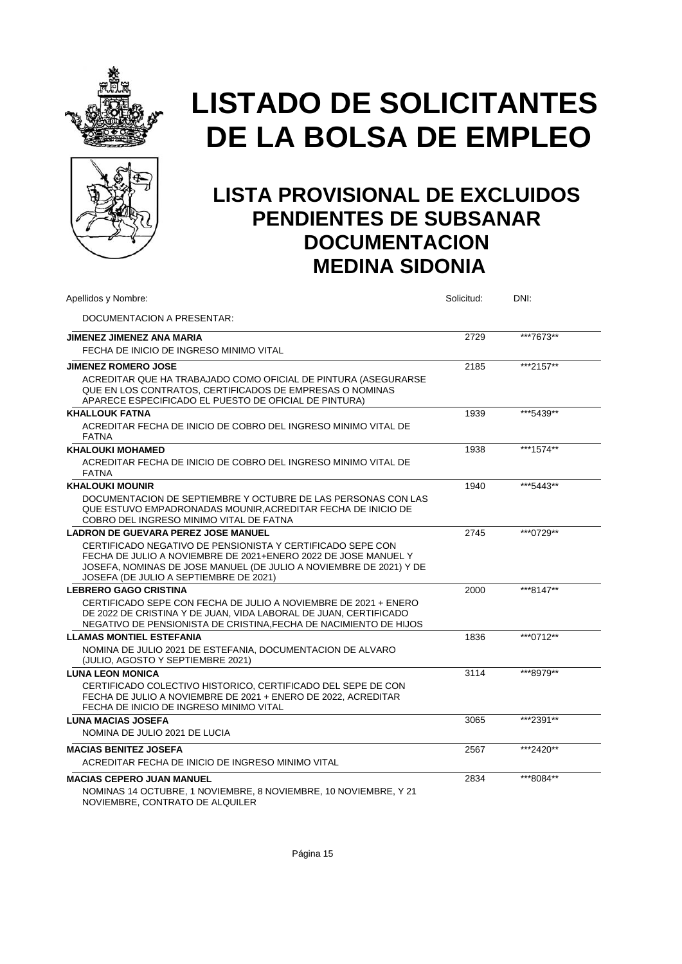



| Apellidos y Nombre:                                                                                                                                                                                                                          | Solicitud: | DNI:      |  |
|----------------------------------------------------------------------------------------------------------------------------------------------------------------------------------------------------------------------------------------------|------------|-----------|--|
| DOCUMENTACION A PRESENTAR:                                                                                                                                                                                                                   |            |           |  |
| JIMENEZ JIMENEZ ANA MARIA                                                                                                                                                                                                                    | 2729       | ***7673** |  |
| FECHA DE INICIO DE INGRESO MINIMO VITAL                                                                                                                                                                                                      |            |           |  |
| <b>JIMENEZ ROMERO JOSE</b>                                                                                                                                                                                                                   | 2185       | ***2157** |  |
| ACREDITAR QUE HA TRABAJADO COMO OFICIAL DE PINTURA (ASEGURARSE<br>QUE EN LOS CONTRATOS, CERTIFICADOS DE EMPRESAS O NOMINAS<br>APARECE ESPECIFICADO EL PUESTO DE OFICIAL DE PINTURA)                                                          |            |           |  |
| <b>KHALLOUK FATNA</b>                                                                                                                                                                                                                        | 1939       | ***5439** |  |
| ACREDITAR FECHA DE INICIO DE COBRO DEL INGRESO MINIMO VITAL DE<br><b>FATNA</b>                                                                                                                                                               |            |           |  |
| <b>KHALOUKI MOHAMED</b>                                                                                                                                                                                                                      | 1938       | ***1574** |  |
| ACREDITAR FECHA DE INICIO DE COBRO DEL INGRESO MINIMO VITAL DE<br><b>FATNA</b>                                                                                                                                                               |            |           |  |
| <b>KHALOUKI MOUNIR</b>                                                                                                                                                                                                                       | 1940       | ***5443** |  |
| DOCUMENTACION DE SEPTIEMBRE Y OCTUBRE DE LAS PERSONAS CON LAS<br>QUE ESTUVO EMPADRONADAS MOUNIR, ACREDITAR FECHA DE INICIO DE<br>COBRO DEL INGRESO MINIMO VITAL DE FATNA                                                                     |            |           |  |
| <b>LADRON DE GUEVARA PEREZ JOSE MANUEL</b>                                                                                                                                                                                                   | 2745       | ***0729** |  |
| CERTIFICADO NEGATIVO DE PENSIONISTA Y CERTIFICADO SEPE CON<br>FECHA DE JULIO A NOVIEMBRE DE 2021+ENERO 2022 DE JOSE MANUEL Y<br>JOSEFA, NOMINAS DE JOSE MANUEL (DE JULIO A NOVIEMBRE DE 2021) Y DE<br>JOSEFA (DE JULIO A SEPTIEMBRE DE 2021) |            |           |  |
| <b>LEBRERO GAGO CRISTINA</b>                                                                                                                                                                                                                 | 2000       | ***8147** |  |
| CERTIFICADO SEPE CON FECHA DE JULIO A NOVIEMBRE DE 2021 + ENERO<br>DE 2022 DE CRISTINA Y DE JUAN, VIDA LABORAL DE JUAN, CERTIFICADO<br>NEGATIVO DE PENSIONISTA DE CRISTINA.FECHA DE NACIMIENTO DE HIJOS                                      |            |           |  |
| <b>LLAMAS MONTIEL ESTEFANIA</b>                                                                                                                                                                                                              | 1836       | ***0712** |  |
| NOMINA DE JULIO 2021 DE ESTEFANIA, DOCUMENTACION DE ALVARO<br>(JULIO, AGOSTO Y SEPTIEMBRE 2021)                                                                                                                                              |            |           |  |
| <b>LUNA LEON MONICA</b>                                                                                                                                                                                                                      | 3114       | ***8979** |  |
| CERTIFICADO COLECTIVO HISTORICO, CERTIFICADO DEL SEPE DE CON<br>FECHA DE JULIO A NOVIEMBRE DE 2021 + ENERO DE 2022. ACREDITAR<br>FECHA DE INICIO DE INGRESO MINIMO VITAL                                                                     |            |           |  |
| <b>LUNA MACIAS JOSEFA</b>                                                                                                                                                                                                                    | 3065       | ***2391** |  |
| NOMINA DE JULIO 2021 DE LUCIA                                                                                                                                                                                                                |            |           |  |
| <b>MACIAS BENITEZ JOSEFA</b>                                                                                                                                                                                                                 | 2567       | ***2420** |  |
| ACREDITAR FECHA DE INICIO DE INGRESO MINIMO VITAL                                                                                                                                                                                            |            |           |  |
| <b>MACIAS CEPERO JUAN MANUEL</b><br>NOMINAS 14 OCTUBRE, 1 NOVIEMBRE, 8 NOVIEMBRE, 10 NOVIEMBRE, Y 21<br>NOVIEMBRE, CONTRATO DE ALQUILER                                                                                                      | 2834       | ***8084** |  |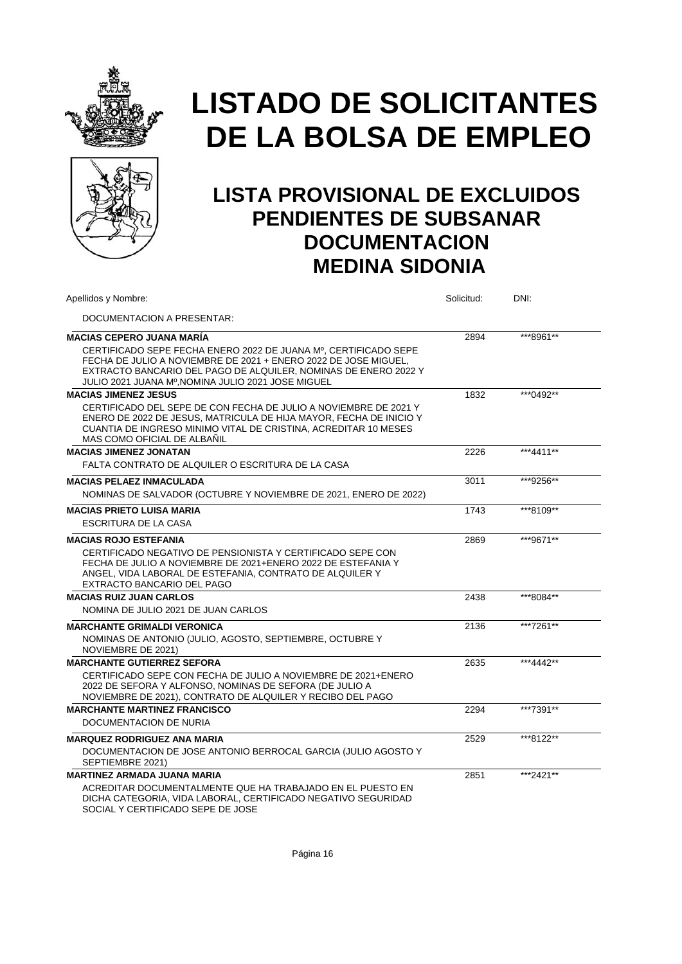



| Apellidos y Nombre:                                                                                                                                                                                                                                         | Solicitud: | DNI:      |  |
|-------------------------------------------------------------------------------------------------------------------------------------------------------------------------------------------------------------------------------------------------------------|------------|-----------|--|
| DOCUMENTACION A PRESENTAR:                                                                                                                                                                                                                                  |            |           |  |
| <b>MACIAS CEPERO JUANA MARÍA</b>                                                                                                                                                                                                                            | 2894       | ***8961** |  |
| CERTIFICADO SEPE FECHA ENERO 2022 DE JUANA Mº. CERTIFICADO SEPE<br>FECHA DE JULIO A NOVIEMBRE DE 2021 + ENERO 2022 DE JOSE MIGUEL.<br>EXTRACTO BANCARIO DEL PAGO DE ALQUILER, NOMINAS DE ENERO 2022 Y<br>JULIO 2021 JUANA Mº, NOMINA JULIO 2021 JOSE MIGUEL |            |           |  |
| <b>MACIAS JIMENEZ JESUS</b>                                                                                                                                                                                                                                 | 1832       | ***0492** |  |
| CERTIFICADO DEL SEPE DE CON FECHA DE JULIO A NOVIEMBRE DE 2021 Y<br>ENERO DE 2022 DE JESUS, MATRICULA DE HIJA MAYOR, FECHA DE INICIO Y<br>CUANTIA DE INGRESO MINIMO VITAL DE CRISTINA, ACREDITAR 10 MESES<br>MAS COMO OFICIAL DE ALBAÑIL                    |            |           |  |
| <b>MACIAS JIMENEZ JONATAN</b>                                                                                                                                                                                                                               | 2226       | ***4411** |  |
| FALTA CONTRATO DE ALQUILER O ESCRITURA DE LA CASA                                                                                                                                                                                                           |            |           |  |
| <b>MACIAS PELAEZ INMACULADA</b><br>NOMINAS DE SALVADOR (OCTUBRE Y NOVIEMBRE DE 2021, ENERO DE 2022)                                                                                                                                                         | 3011       | ***9256** |  |
| <b>MACIAS PRIETO LUISA MARIA</b>                                                                                                                                                                                                                            | 1743       | ***8109** |  |
| ESCRITURA DE LA CASA                                                                                                                                                                                                                                        |            |           |  |
| <b>MACIAS ROJO ESTEFANIA</b><br>CERTIFICADO NEGATIVO DE PENSIONISTA Y CERTIFICADO SEPE CON<br>FECHA DE JULIO A NOVIEMBRE DE 2021+ENERO 2022 DE ESTEFANIA Y<br>ANGEL, VIDA LABORAL DE ESTEFANIA, CONTRATO DE ALQUILER Y<br>EXTRACTO BANCARIO DEL PAGO        | 2869       | ***9671** |  |
| <b>MACIAS RUIZ JUAN CARLOS</b>                                                                                                                                                                                                                              | 2438       | ***8084** |  |
| NOMINA DE JULIO 2021 DE JUAN CARLOS                                                                                                                                                                                                                         |            |           |  |
| <b>MARCHANTE GRIMALDI VERONICA</b><br>NOMINAS DE ANTONIO (JULIO, AGOSTO, SEPTIEMBRE, OCTUBRE Y<br>NOVIEMBRE DE 2021)                                                                                                                                        | 2136       | ***7261** |  |
| <b>MARCHANTE GUTIERREZ SEFORA</b>                                                                                                                                                                                                                           | 2635       | ***4442** |  |
| CERTIFICADO SEPE CON FECHA DE JULIO A NOVIEMBRE DE 2021+ENERO<br>2022 DE SEFORA Y ALFONSO, NOMINAS DE SEFORA (DE JULIO A<br>NOVIEMBRE DE 2021), CONTRATO DE ALQUILER Y RECIBO DEL PAGO                                                                      |            |           |  |
| <b>MARCHANTE MARTINEZ FRANCISCO</b>                                                                                                                                                                                                                         | 2294       | ***7391** |  |
| DOCUMENTACION DE NURIA                                                                                                                                                                                                                                      |            |           |  |
| <b>MARQUEZ RODRIGUEZ ANA MARIA</b>                                                                                                                                                                                                                          | 2529       | ***8122** |  |
| DOCUMENTACION DE JOSE ANTONIO BERROCAL GARCIA (JULIO AGOSTO Y<br>SEPTIEMBRE 2021)                                                                                                                                                                           |            |           |  |
| <b>MARTINEZ ARMADA JUANA MARIA</b>                                                                                                                                                                                                                          | 2851       | ***2421** |  |
| ACREDITAR DOCUMENTALMENTE QUE HA TRABAJADO EN EL PUESTO EN<br>DICHA CATEGORIA, VIDA LABORAL, CERTIFICADO NEGATIVO SEGURIDAD<br>SOCIAL Y CERTIFICADO SEPE DE JOSE                                                                                            |            |           |  |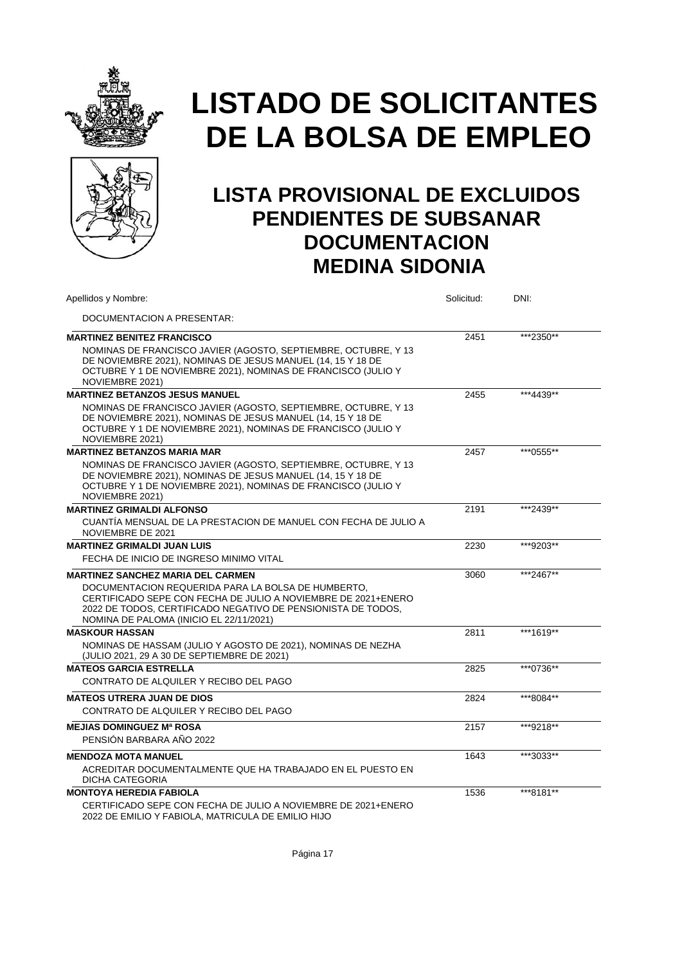



| Apellidos y Nombre:                                                                                                                                                                                                            | Solicitud: | DNI:      |
|--------------------------------------------------------------------------------------------------------------------------------------------------------------------------------------------------------------------------------|------------|-----------|
| DOCUMENTACION A PRESENTAR:                                                                                                                                                                                                     |            |           |
| <b>MARTINEZ BENITEZ FRANCISCO</b>                                                                                                                                                                                              | 2451       | ***2350** |
| NOMINAS DE FRANCISCO JAVIER (AGOSTO, SEPTIEMBRE, OCTUBRE, Y 13<br>DE NOVIEMBRE 2021), NOMINAS DE JESUS MANUEL (14, 15 Y 18 DE<br>OCTUBRE Y 1 DE NOVIEMBRE 2021), NOMINAS DE FRANCISCO (JULIO Y<br>NOVIEMBRE 2021)              |            |           |
| <b>MARTINEZ BETANZOS JESUS MANUEL</b>                                                                                                                                                                                          | 2455       | ***4439** |
| NOMINAS DE FRANCISCO JAVIER (AGOSTO, SEPTIEMBRE, OCTUBRE, Y 13<br>DE NOVIEMBRE 2021), NOMINAS DE JESUS MANUEL (14, 15 Y 18 DE<br>OCTUBRE Y 1 DE NOVIEMBRE 2021), NOMINAS DE FRANCISCO (JULIO Y<br>NOVIEMBRE 2021)              |            |           |
| <b>MARTINEZ BETANZOS MARIA MAR</b>                                                                                                                                                                                             | 2457       | ***0555** |
| NOMINAS DE FRANCISCO JAVIER (AGOSTO, SEPTIEMBRE, OCTUBRE, Y 13<br>DE NOVIEMBRE 2021), NOMINAS DE JESUS MANUEL (14, 15 Y 18 DE<br>OCTUBRE Y 1 DE NOVIEMBRE 2021), NOMINAS DE FRANCISCO (JULIO Y<br>NOVIEMBRE 2021)              |            |           |
| <b>MARTINEZ GRIMALDI ALFONSO</b>                                                                                                                                                                                               | 2191       | ***2439** |
| CUANTÍA MENSUAL DE LA PRESTACION DE MANUEL CON FECHA DE JULIO A<br>NOVIEMBRE DE 2021                                                                                                                                           |            |           |
| <b>MARTINEZ GRIMALDI JUAN LUIS</b>                                                                                                                                                                                             | 2230       | ***9203** |
| FECHA DE INICIO DE INGRESO MINIMO VITAL                                                                                                                                                                                        |            |           |
| <b>MARTINEZ SANCHEZ MARIA DEL CARMEN</b>                                                                                                                                                                                       | 3060       | ***2467** |
| DOCUMENTACION REQUERIDA PARA LA BOLSA DE HUMBERTO.<br>CERTIFICADO SEPE CON FECHA DE JULIO A NOVIEMBRE DE 2021+ENERO<br>2022 DE TODOS, CERTIFICADO NEGATIVO DE PENSIONISTA DE TODOS,<br>NOMINA DE PALOMA (INICIO EL 22/11/2021) |            |           |
| <b>MASKOUR HASSAN</b>                                                                                                                                                                                                          | 2811       | ***1619** |
| NOMINAS DE HASSAM (JULIO Y AGOSTO DE 2021), NOMINAS DE NEZHA<br>(JULIO 2021, 29 A 30 DE SEPTIEMBRE DE 2021)                                                                                                                    |            |           |
| <b>MATEOS GARCIA ESTRELLA</b>                                                                                                                                                                                                  | 2825       | ***0736** |
| CONTRATO DE ALQUILER Y RECIBO DEL PAGO                                                                                                                                                                                         |            |           |
| <b>MATEOS UTRERA JUAN DE DIOS</b>                                                                                                                                                                                              | 2824       | ***8084** |
| CONTRATO DE ALQUILER Y RECIBO DEL PAGO                                                                                                                                                                                         |            |           |
| <b>MEJIAS DOMINGUEZ Mª ROSA</b>                                                                                                                                                                                                | 2157       | ***9218** |
| PENSIÓN BARBARA AÑO 2022                                                                                                                                                                                                       |            |           |
| <b>MENDOZA MOTA MANUEL</b>                                                                                                                                                                                                     | 1643       | ***3033** |
| ACREDITAR DOCUMENTALMENTE QUE HA TRABAJADO EN EL PUESTO EN<br><b>DICHA CATEGORIA</b>                                                                                                                                           |            |           |
| <b>MONTOYA HEREDIA FABIOLA</b>                                                                                                                                                                                                 | 1536       | ***8181** |
| CERTIFICADO SEPE CON FECHA DE JULIO A NOVIEMBRE DE 2021+ENERO<br>2022 DE EMILIO Y FABIOLA, MATRICULA DE EMILIO HIJO                                                                                                            |            |           |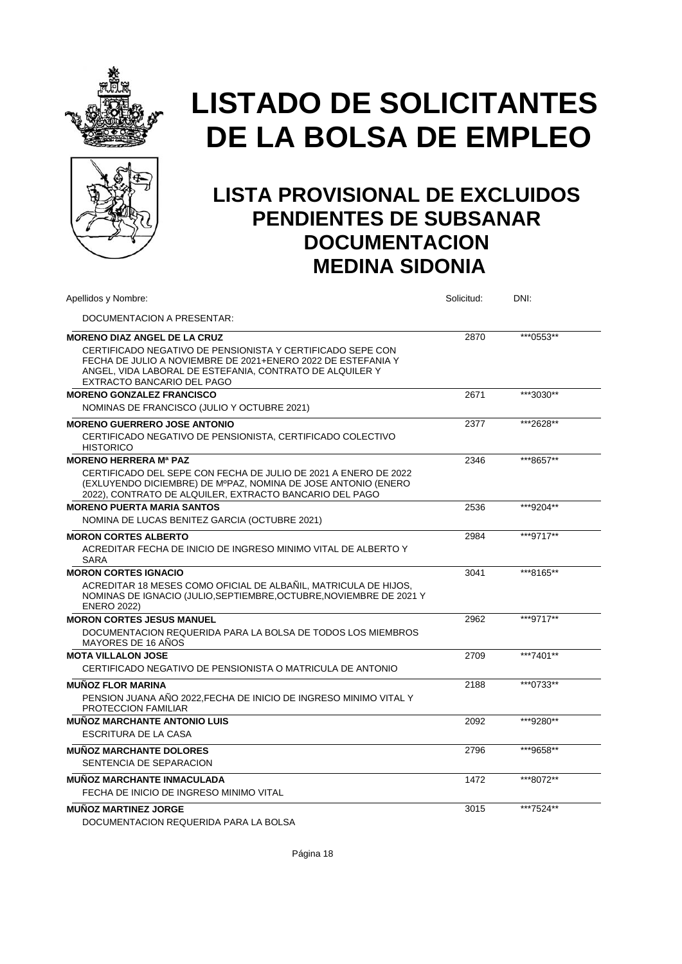



### **LISTA PROVISIONAL DE EXCLUIDOS PENDIENTES DE SUBSANAR DOCUMENTACION MEDINA SIDONIA**

| Apellidos y Nombre:                                                                                                                                                                                                  | Solicitud: | DNI:      |  |
|----------------------------------------------------------------------------------------------------------------------------------------------------------------------------------------------------------------------|------------|-----------|--|
| DOCUMENTACION A PRESENTAR:                                                                                                                                                                                           |            |           |  |
| <b>MORENO DIAZ ANGEL DE LA CRUZ</b>                                                                                                                                                                                  | 2870       | ***0553** |  |
| CERTIFICADO NEGATIVO DE PENSIONISTA Y CERTIFICADO SEPE CON<br>FECHA DE JULIO A NOVIEMBRE DE 2021+ENERO 2022 DE ESTEFANIA Y<br>ANGEL, VIDA LABORAL DE ESTEFANIA, CONTRATO DE ALQUILER Y<br>EXTRACTO BANCARIO DEL PAGO |            |           |  |
| <b>MORENO GONZALEZ FRANCISCO</b>                                                                                                                                                                                     | 2671       | ***3030** |  |
| NOMINAS DE FRANCISCO (JULIO Y OCTUBRE 2021)                                                                                                                                                                          |            |           |  |
| <b>MORENO GUERRERO JOSE ANTONIO</b>                                                                                                                                                                                  | 2377       | ***2628** |  |
| CERTIFICADO NEGATIVO DE PENSIONISTA, CERTIFICADO COLECTIVO<br><b>HISTORICO</b>                                                                                                                                       |            |           |  |
| <b>MORENO HERRERA Mª PAZ</b>                                                                                                                                                                                         | 2346       | ***8657** |  |
| CERTIFICADO DEL SEPE CON FECHA DE JULIO DE 2021 A ENERO DE 2022<br>(EXLUYENDO DICIEMBRE) DE MºPAZ, NOMINA DE JOSE ANTONIO (ENERO<br>2022), CONTRATO DE ALQUILER, EXTRACTO BANCARIO DEL PAGO                          |            |           |  |
| <b>MORENO PUERTA MARIA SANTOS</b>                                                                                                                                                                                    | 2536       | ***9204** |  |
| NOMINA DE LUCAS BENITEZ GARCIA (OCTUBRE 2021)                                                                                                                                                                        |            |           |  |
| <b>MORON CORTES ALBERTO</b>                                                                                                                                                                                          | 2984       | ***9717** |  |
| ACREDITAR FECHA DE INICIO DE INGRESO MINIMO VITAL DE ALBERTO Y<br><b>SARA</b>                                                                                                                                        |            |           |  |
| <b>MORON CORTES IGNACIO</b>                                                                                                                                                                                          | 3041       | ***8165** |  |
| ACREDITAR 18 MESES COMO OFICIAL DE ALBAÑIL, MATRICULA DE HIJOS,<br>NOMINAS DE IGNACIO (JULIO, SEPTIEMBRE, OCTUBRE, NOVIEMBRE DE 2021 Y<br><b>ENERO 2022)</b>                                                         |            |           |  |
| <b>MORON CORTES JESUS MANUEL</b>                                                                                                                                                                                     | 2962       | ***9717** |  |
| DOCUMENTACION REQUERIDA PARA LA BOLSA DE TODOS LOS MIEMBROS<br><b>MAYORES DE 16 ANOS</b>                                                                                                                             |            |           |  |
| <b>MOTA VILLALON JOSE</b>                                                                                                                                                                                            | 2709       | ***7401** |  |
| CERTIFICADO NEGATIVO DE PENSIONISTA O MATRICULA DE ANTONIO                                                                                                                                                           |            |           |  |
| <b>MUÑOZ FLOR MARINA</b>                                                                                                                                                                                             | 2188       | ***0733** |  |
| PENSION JUANA ANO 2022, FECHA DE INICIO DE INGRESO MINIMO VITAL Y<br>PROTECCION FAMILIAR                                                                                                                             |            |           |  |
| <b>MUNOZ MARCHANTE ANTONIO LUIS</b>                                                                                                                                                                                  | 2092       | ***9280** |  |
| <b>ESCRITURA DE LA CASA</b>                                                                                                                                                                                          |            |           |  |
| <b>MUNOZ MARCHANTE DOLORES</b><br>SENTENCIA DE SEPARACION                                                                                                                                                            | 2796       | ***9658** |  |
| <b>MUNOZ MARCHANTE INMACULADA</b>                                                                                                                                                                                    | 1472       | ***8072** |  |
| FECHA DE INICIO DE INGRESO MINIMO VITAL                                                                                                                                                                              |            |           |  |
| <b>MUNOZ MARTINEZ JORGE</b><br>DOCUMENTACION REQUERIDA PARA LA BOLSA                                                                                                                                                 | 3015       | ***7524** |  |
|                                                                                                                                                                                                                      |            |           |  |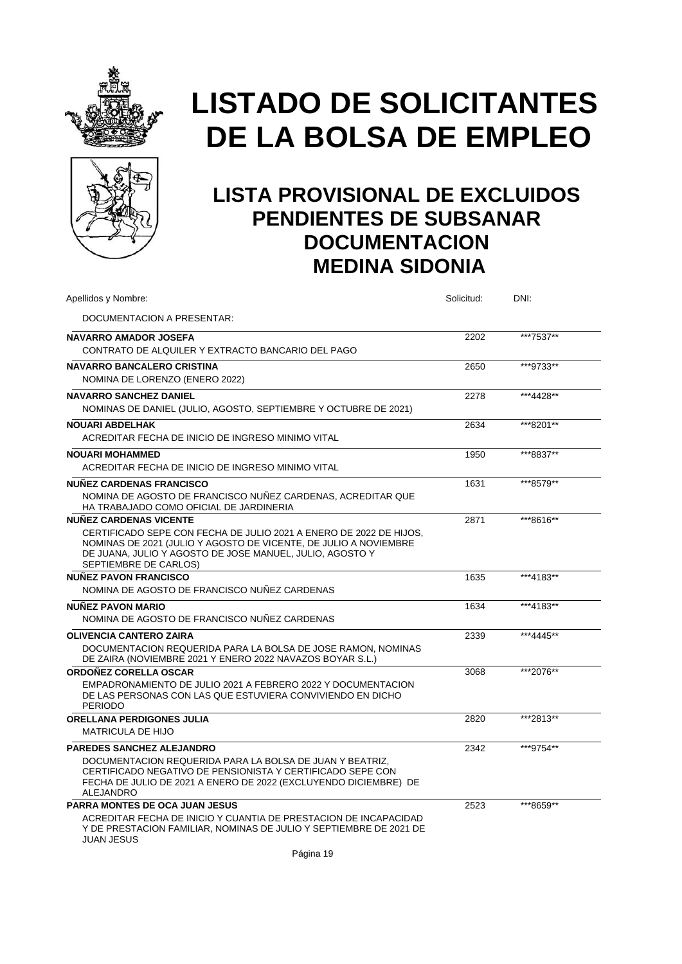



| Apellidos y Nombre:                                                                                                                                                                                                         | Solicitud: | DNI:      |
|-----------------------------------------------------------------------------------------------------------------------------------------------------------------------------------------------------------------------------|------------|-----------|
| DOCUMENTACION A PRESENTAR:                                                                                                                                                                                                  |            |           |
| <b>NAVARRO AMADOR JOSEFA</b>                                                                                                                                                                                                | 2202       | ***7537** |
| CONTRATO DE ALQUILER Y EXTRACTO BANCARIO DEL PAGO                                                                                                                                                                           |            |           |
| <b>NAVARRO BANCALERO CRISTINA</b>                                                                                                                                                                                           | 2650       | ***9733** |
| NOMINA DE LORENZO (ENERO 2022)                                                                                                                                                                                              |            |           |
| <b>NAVARRO SANCHEZ DANIEL</b>                                                                                                                                                                                               | 2278       | ***4428** |
| NOMINAS DE DANIEL (JULIO, AGOSTO, SEPTIEMBRE Y OCTUBRE DE 2021)                                                                                                                                                             |            |           |
| <b>NOUARI ABDELHAK</b>                                                                                                                                                                                                      | 2634       | ***8201** |
| ACREDITAR FECHA DE INICIO DE INGRESO MINIMO VITAL                                                                                                                                                                           |            |           |
| <b>NOUARI MOHAMMED</b>                                                                                                                                                                                                      | 1950       | ***8837** |
| ACREDITAR FECHA DE INICIO DE INGRESO MINIMO VITAL                                                                                                                                                                           |            |           |
| <b>NUÑEZ CARDENAS FRANCISCO</b>                                                                                                                                                                                             | 1631       | ***8579** |
| NOMINA DE AGOSTO DE FRANCISCO NUÑEZ CARDENAS, ACREDITAR QUE<br>HA TRABAJADO COMO OFICIAL DE JARDINERIA                                                                                                                      |            |           |
| <b>NUÑEZ CARDENAS VICENTE</b>                                                                                                                                                                                               | 2871       | ***8616** |
| CERTIFICADO SEPE CON FECHA DE JULIO 2021 A ENERO DE 2022 DE HIJOS,<br>NOMINAS DE 2021 (JULIO Y AGOSTO DE VICENTE, DE JULIO A NOVIEMBRE<br>DE JUANA, JULIO Y AGOSTO DE JOSE MANUEL, JULIO, AGOSTO Y<br>SEPTIEMBRE DE CARLOS) |            |           |
| <b>NUÑEZ PAVON FRANCISCO</b>                                                                                                                                                                                                | 1635       | ***4183** |
| NOMINA DE AGOSTO DE FRANCISCO NUÑEZ CARDENAS                                                                                                                                                                                |            |           |
| <b>NUÑEZ PAVON MARIO</b>                                                                                                                                                                                                    | 1634       | ***4183** |
| NOMINA DE AGOSTO DE FRANCISCO NUÑEZ CARDENAS                                                                                                                                                                                |            |           |
| <b>OLIVENCIA CANTERO ZAIRA</b>                                                                                                                                                                                              | 2339       | ***4445** |
| DOCUMENTACION REQUERIDA PARA LA BOLSA DE JOSE RAMON, NOMINAS<br>DE ZAIRA (NOVIEMBRE 2021 Y ENERO 2022 NAVAZOS BOYAR S.L.)                                                                                                   |            |           |
| <b>ORDOÑEZ CORELLA OSCAR</b>                                                                                                                                                                                                | 3068       | ***2076** |
| EMPADRONAMIENTO DE JULIO 2021 A FEBRERO 2022 Y DOCUMENTACION<br>DE LAS PERSONAS CON LAS QUE ESTUVIERA CONVIVIENDO EN DICHO<br><b>PERIODO</b>                                                                                |            |           |
| <b>ORELLANA PERDIGONES JULIA</b>                                                                                                                                                                                            | 2820       | ***2813** |
| <b>MATRICULA DE HIJO</b>                                                                                                                                                                                                    |            |           |
| <b>PAREDES SANCHEZ ALEJANDRO</b>                                                                                                                                                                                            | 2342       | ***9754** |
| DOCUMENTACION REQUERIDA PARA LA BOLSA DE JUAN Y BEATRIZ.<br>CERTIFICADO NEGATIVO DE PENSIONISTA Y CERTIFICADO SEPE CON<br>FECHA DE JULIO DE 2021 A ENERO DE 2022 (EXCLUYENDO DICIEMBRE) DE<br><b>ALEJANDRO</b>              |            |           |
| <b>PARRA MONTES DE OCA JUAN JESUS</b>                                                                                                                                                                                       | 2523       | ***8659** |
| ACREDITAR FECHA DE INICIO Y CUANTIA DE PRESTACION DE INCAPACIDAD<br>Y DE PRESTACION FAMILIAR, NOMINAS DE JULIO Y SEPTIEMBRE DE 2021 DE<br><b>JUAN JESUS</b>                                                                 |            |           |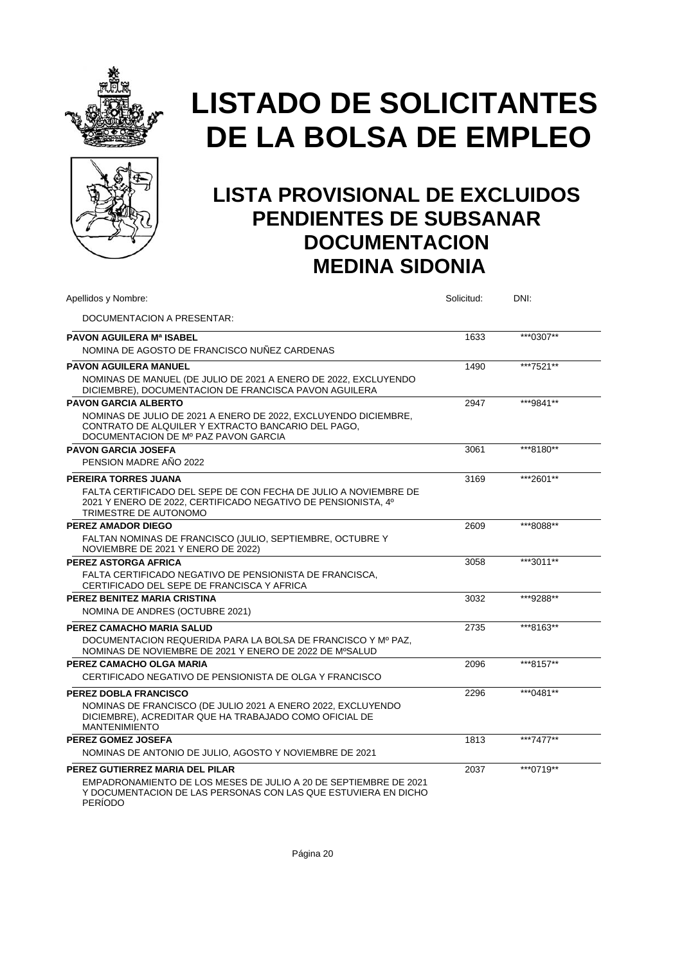



### **LISTA PROVISIONAL DE EXCLUIDOS PENDIENTES DE SUBSANAR DOCUMENTACION MEDINA SIDONIA**

| Apellidos y Nombre:                                                                                                                                                                     | Solicitud: | DNI:      |  |
|-----------------------------------------------------------------------------------------------------------------------------------------------------------------------------------------|------------|-----------|--|
| DOCUMENTACION A PRESENTAR:                                                                                                                                                              |            |           |  |
| <b>PAVON AGUILERA Mª ISABEL</b>                                                                                                                                                         | 1633       | ***0307** |  |
| NOMINA DE AGOSTO DE FRANCISCO NUÑEZ CARDENAS                                                                                                                                            |            |           |  |
| <b>PAVON AGUILERA MANUEL</b>                                                                                                                                                            | 1490       | ***7521** |  |
| NOMINAS DE MANUEL (DE JULIO DE 2021 A ENERO DE 2022, EXCLUYENDO<br>DICIEMBRE), DOCUMENTACION DE FRANCISCA PAVON AGUILERA                                                                |            |           |  |
| <b>PAVON GARCIA ALBERTO</b>                                                                                                                                                             | 2947       | ***9841** |  |
| NOMINAS DE JULIO DE 2021 A ENERO DE 2022, EXCLUYENDO DICIEMBRE,<br>CONTRATO DE ALQUILER Y EXTRACTO BANCARIO DEL PAGO.<br>DOCUMENTACION DE Mº PAZ PAVON GARCIA                           |            |           |  |
| <b>PAVON GARCIA JOSEFA</b>                                                                                                                                                              | 3061       | ***8180** |  |
| PENSION MADRE AÑO 2022                                                                                                                                                                  |            |           |  |
| PEREIRA TORRES JUANA                                                                                                                                                                    | 3169       | ***2601** |  |
| FALTA CERTIFICADO DEL SEPE DE CON FECHA DE JULIO A NOVIEMBRE DE<br>2021 Y ENERO DE 2022, CERTIFICADO NEGATIVO DE PENSIONISTA, 4º<br>TRIMESTRE DE AUTONOMO                               |            |           |  |
| <b>PEREZ AMADOR DIEGO</b>                                                                                                                                                               | 2609       | ***8088** |  |
| FALTAN NOMINAS DE FRANCISCO (JULIO, SEPTIEMBRE, OCTUBRE Y<br>NOVIEMBRE DE 2021 Y ENERO DE 2022)                                                                                         |            |           |  |
| PEREZ ASTORGA AFRICA                                                                                                                                                                    | 3058       | ***3011** |  |
| FALTA CERTIFICADO NEGATIVO DE PENSIONISTA DE FRANCISCA,<br>CERTIFICADO DEL SEPE DE FRANCISCA Y AFRICA                                                                                   |            |           |  |
| PEREZ BENITEZ MARIA CRISTINA                                                                                                                                                            | 3032       | ***9288** |  |
| NOMINA DE ANDRES (OCTUBRE 2021)                                                                                                                                                         |            |           |  |
| PEREZ CAMACHO MARIA SALUD                                                                                                                                                               | 2735       | ***8163** |  |
| DOCUMENTACION REQUERIDA PARA LA BOLSA DE FRANCISCO Y Mº PAZ.<br>NOMINAS DE NOVIEMBRE DE 2021 Y ENERO DE 2022 DE MºSALUD                                                                 |            |           |  |
| PEREZ CAMACHO OLGA MARIA                                                                                                                                                                | 2096       | ***8157** |  |
| CERTIFICADO NEGATIVO DE PENSIONISTA DE OLGA Y FRANCISCO                                                                                                                                 |            |           |  |
| <b>PEREZ DOBLA FRANCISCO</b>                                                                                                                                                            | 2296       | ***0481** |  |
| NOMINAS DE FRANCISCO (DE JULIO 2021 A ENERO 2022, EXCLUYENDO<br>DICIEMBRE). ACREDITAR QUE HA TRABAJADO COMO OFICIAL DE<br><b>MANTENIMIENTO</b>                                          |            |           |  |
| PEREZ GOMEZ JOSEFA                                                                                                                                                                      | 1813       | ***7477** |  |
| NOMINAS DE ANTONIO DE JULIO, AGOSTO Y NOVIEMBRE DE 2021                                                                                                                                 |            |           |  |
| PEREZ GUTIERREZ MARIA DEL PILAR<br>EMPADRONAMIENTO DE LOS MESES DE JULIO A 20 DE SEPTIEMBRE DE 2021<br>Y DOCUMENTACION DE LAS PERSONAS CON LAS QUE ESTUVIERA EN DICHO<br><b>PERIODO</b> | 2037       | ***0719** |  |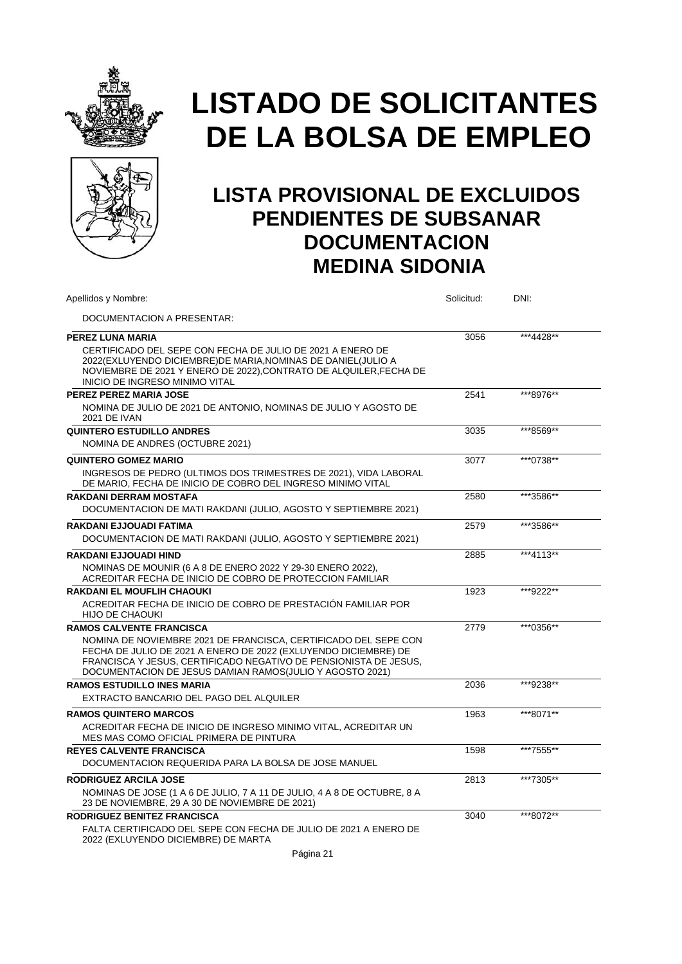



| Apellidos y Nombre:                                                                                                                                                                                                                                                                                   | Solicitud: | DNI:      |
|-------------------------------------------------------------------------------------------------------------------------------------------------------------------------------------------------------------------------------------------------------------------------------------------------------|------------|-----------|
| DOCUMENTACION A PRESENTAR:                                                                                                                                                                                                                                                                            |            |           |
| PEREZ LUNA MARIA<br>CERTIFICADO DEL SEPE CON FECHA DE JULIO DE 2021 A ENERO DE<br>2022(EXLUYENDO DICIEMBRE)DE MARIA, NOMINAS DE DANIEL (JULIO A<br>NOVIEMBRE DE 2021 Y ENERO DE 2022), CONTRATO DE ALQUILER, FECHA DE<br>INICIO DE INGRESO MINIMO VITAL                                               | 3056       | ***4428** |
| PEREZ PEREZ MARIA JOSE<br>NOMINA DE JULIO DE 2021 DE ANTONIO, NOMINAS DE JULIO Y AGOSTO DE<br><b>2021 DE IVAN</b>                                                                                                                                                                                     | 2541       | ***8976** |
| QUINTERO ESTUDILLO ANDRES<br>NOMINA DE ANDRES (OCTUBRE 2021)                                                                                                                                                                                                                                          | 3035       | ***8569** |
| <b>QUINTERO GOMEZ MARIO</b><br>INGRESOS DE PEDRO (ULTIMOS DOS TRIMESTRES DE 2021), VIDA LABORAL<br>DE MARIO, FECHA DE INICIO DE COBRO DEL INGRESO MINIMO VITAL                                                                                                                                        | 3077       | ***0738** |
| <b>RAKDANI DERRAM MOSTAFA</b><br>DOCUMENTACION DE MATI RAKDANI (JULIO, AGOSTO Y SEPTIEMBRE 2021)                                                                                                                                                                                                      | 2580       | ***3586** |
| <b>RAKDANI EJJOUADI FATIMA</b><br>DOCUMENTACION DE MATI RAKDANI (JULIO, AGOSTO Y SEPTIEMBRE 2021)                                                                                                                                                                                                     | 2579       | ***3586** |
| RAKDANI EJJOUADI HIND<br>NOMINAS DE MOUNIR (6 A 8 DE ENERO 2022 Y 29-30 ENERO 2022),<br>ACREDITAR FECHA DE INICIO DE COBRO DE PROTECCION FAMILIAR                                                                                                                                                     | 2885       | ***4113** |
| <b>RAKDANI EL MOUFLIH CHAOUKI</b><br>ACREDITAR FECHA DE INICIO DE COBRO DE PRESTACIÓN FAMILIAR POR<br><b>HIJO DE CHAOUKI</b>                                                                                                                                                                          | 1923       | ***9222** |
| <b>RAMOS CALVENTE FRANCISCA</b><br>NOMINA DE NOVIEMBRE 2021 DE FRANCISCA, CERTIFICADO DEL SEPE CON<br>FECHA DE JULIO DE 2021 A ENERO DE 2022 (EXLUYENDO DICIEMBRE) DE<br>FRANCISCA Y JESUS. CERTIFICADO NEGATIVO DE PENSIONISTA DE JESUS.<br>DOCUMENTACION DE JESUS DAMIAN RAMOS(JULIO Y AGOSTO 2021) | 2779       | ***0356** |
| <b>RAMOS ESTUDILLO INES MARIA</b><br>EXTRACTO BANCARIO DEL PAGO DEL ALQUILER                                                                                                                                                                                                                          | 2036       | ***9238** |
| <b>RAMOS QUINTERO MARCOS</b><br>ACREDITAR FECHA DE INICIO DE INGRESO MINIMO VITAL, ACREDITAR UN<br>MES MAS COMO OFICIAL PRIMERA DE PINTURA                                                                                                                                                            | 1963       | ***8071** |
| <b>REYES CALVENTE FRANCISCA</b><br>DOCUMENTACION REQUERIDA PARA LA BOLSA DE JOSE MANUEL                                                                                                                                                                                                               | 1598       | ***7555** |
| <b>RODRIGUEZ ARCILA JOSE</b><br>NOMINAS DE JOSE (1 A 6 DE JULIO, 7 A 11 DE JULIO, 4 A 8 DE OCTUBRE, 8 A<br>23 DE NOVIEMBRE, 29 A 30 DE NOVIEMBRE DE 2021)                                                                                                                                             | 2813       | ***7305** |
| RODRIGUEZ BENITEZ FRANCISCA<br>FALTA CERTIFICADO DEL SEPE CON FECHA DE JULIO DE 2021 A ENERO DE<br>2022 (EXLUYENDO DICIEMBRE) DE MARTA                                                                                                                                                                | 3040       | ***8072** |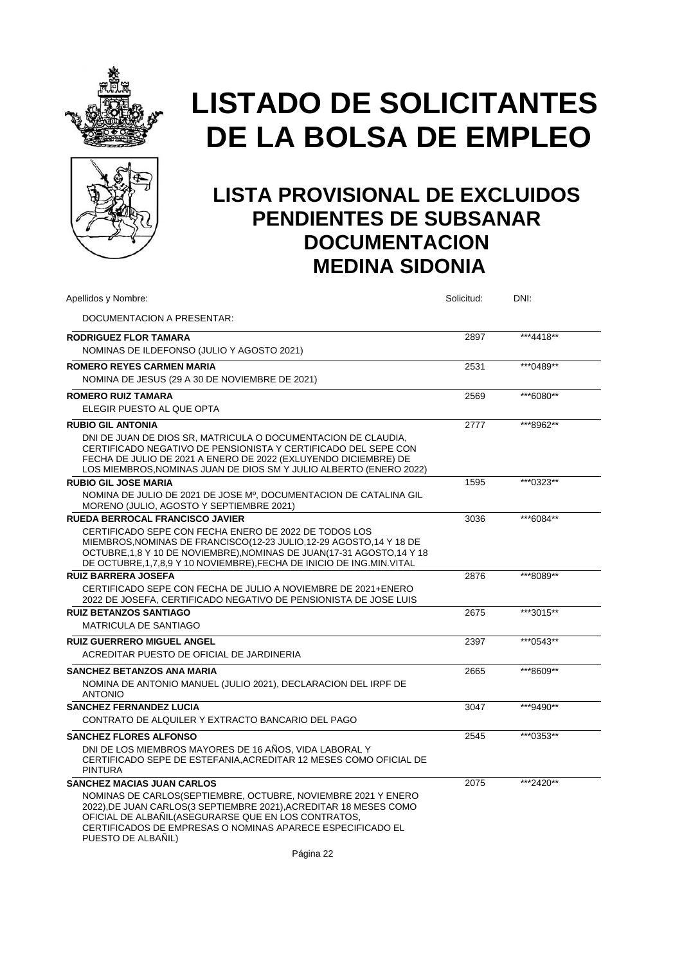



### **LISTA PROVISIONAL DE EXCLUIDOS PENDIENTES DE SUBSANAR DOCUMENTACION MEDINA SIDONIA**

| Apellidos y Nombre:                                                                                                                                                                                                                                                                     | Solicitud: | DNI:      |
|-----------------------------------------------------------------------------------------------------------------------------------------------------------------------------------------------------------------------------------------------------------------------------------------|------------|-----------|
| DOCUMENTACION A PRESENTAR:                                                                                                                                                                                                                                                              |            |           |
| <b>RODRIGUEZ FLOR TAMARA</b>                                                                                                                                                                                                                                                            | 2897       | ***4418** |
| NOMINAS DE ILDEFONSO (JULIO Y AGOSTO 2021)                                                                                                                                                                                                                                              |            |           |
| <b>ROMERO REYES CARMEN MARIA</b>                                                                                                                                                                                                                                                        | 2531       | ***0489** |
| NOMINA DE JESUS (29 A 30 DE NOVIEMBRE DE 2021)                                                                                                                                                                                                                                          |            |           |
| <b>ROMERO RUIZ TAMARA</b>                                                                                                                                                                                                                                                               | 2569       | ***6080** |
| ELEGIR PUESTO AL QUE OPTA                                                                                                                                                                                                                                                               |            |           |
| <b>RUBIO GIL ANTONIA</b>                                                                                                                                                                                                                                                                | 2777       | ***8962** |
| DNI DE JUAN DE DIOS SR, MATRICULA O DOCUMENTACION DE CLAUDIA,<br>CERTIFICADO NEGATIVO DE PENSIONISTA Y CERTIFICADO DEL SEPE CON<br>FECHA DE JULIO DE 2021 A ENERO DE 2022 (EXLUYENDO DICIEMBRE) DE<br>LOS MIEMBROS, NOMINAS JUAN DE DIOS SM Y JULIO ALBERTO (ENERO 2022)                |            |           |
| <b>RUBIO GIL JOSE MARIA</b>                                                                                                                                                                                                                                                             | 1595       | ***0323** |
| NOMINA DE JULIO DE 2021 DE JOSE Mº, DOCUMENTACION DE CATALINA GIL<br>MORENO (JULIO, AGOSTO Y SEPTIEMBRE 2021)                                                                                                                                                                           |            |           |
| <b>RUEDA BERROCAL FRANCISCO JAVIER</b>                                                                                                                                                                                                                                                  | 3036       | ***6084** |
| CERTIFICADO SEPE CON FECHA ENERO DE 2022 DE TODOS LOS<br>MIEMBROS, NOMINAS DE FRANCISCO (12-23 JULIO, 12-29 AGOSTO, 14 Y 18 DE<br>OCTUBRE, 1, 8 Y 10 DE NOVIEMBRE), NOMINAS DE JUAN(17-31 AGOSTO, 14 Y 18<br>DE OCTUBRE, 1, 7, 8, 9 Y 10 NOVIEMBRE), FECHA DE INICIO DE ING. MIN. VITAL |            |           |
| <b>RUIZ BARRERA JOSEFA</b>                                                                                                                                                                                                                                                              | 2876       | ***8089** |
| CERTIFICADO SEPE CON FECHA DE JULIO A NOVIEMBRE DE 2021+ENERO<br>2022 DE JOSEFA, CERTIFICADO NEGATIVO DE PENSIONISTA DE JOSE LUIS                                                                                                                                                       |            |           |
| <b>RUIZ BETANZOS SANTIAGO</b>                                                                                                                                                                                                                                                           | 2675       | ***3015** |
| <b>MATRICULA DE SANTIAGO</b>                                                                                                                                                                                                                                                            |            |           |
| <b>RUIZ GUERRERO MIGUEL ANGEL</b>                                                                                                                                                                                                                                                       | 2397       | ***0543** |
| ACREDITAR PUESTO DE OFICIAL DE JARDINERIA                                                                                                                                                                                                                                               |            |           |
| <b>SANCHEZ BETANZOS ANA MARIA</b>                                                                                                                                                                                                                                                       | 2665       | ***8609** |
| NOMINA DE ANTONIO MANUEL (JULIO 2021), DECLARACION DEL IRPF DE<br><b>ANTONIO</b>                                                                                                                                                                                                        |            |           |
| <b>SANCHEZ FERNANDEZ LUCIA</b>                                                                                                                                                                                                                                                          | 3047       | ***9490** |
| CONTRATO DE ALQUILER Y EXTRACTO BANCARIO DEL PAGO                                                                                                                                                                                                                                       |            |           |
| <b>SANCHEZ FLORES ALFONSO</b><br>DNI DE LOS MIEMBROS MAYORES DE 16 AÑOS, VIDA LABORAL Y<br>CERTIFICADO SEPE DE ESTEFANIA, ACREDITAR 12 MESES COMO OFICIAL DE<br><b>PINTURA</b>                                                                                                          | 2545       | ***0353** |
| <b>SANCHEZ MACIAS JUAN CARLOS</b>                                                                                                                                                                                                                                                       | 2075       | ***2420** |
| NOMINAS DE CARLOS(SEPTIEMBRE, OCTUBRE, NOVIEMBRE 2021 Y ENERO<br>2022), DE JUAN CARLOS(3 SEPTIEMBRE 2021), ACREDITAR 18 MESES COMO<br>OFICIAL DE ALBANIL(ASEGURARSE QUE EN LOS CONTRATOS.<br>CERTIFICADOS DE EMPRESAS O NOMINAS APARECE ESPECIFICADO EL<br>PUESTO DE ALBAÑIL)           |            |           |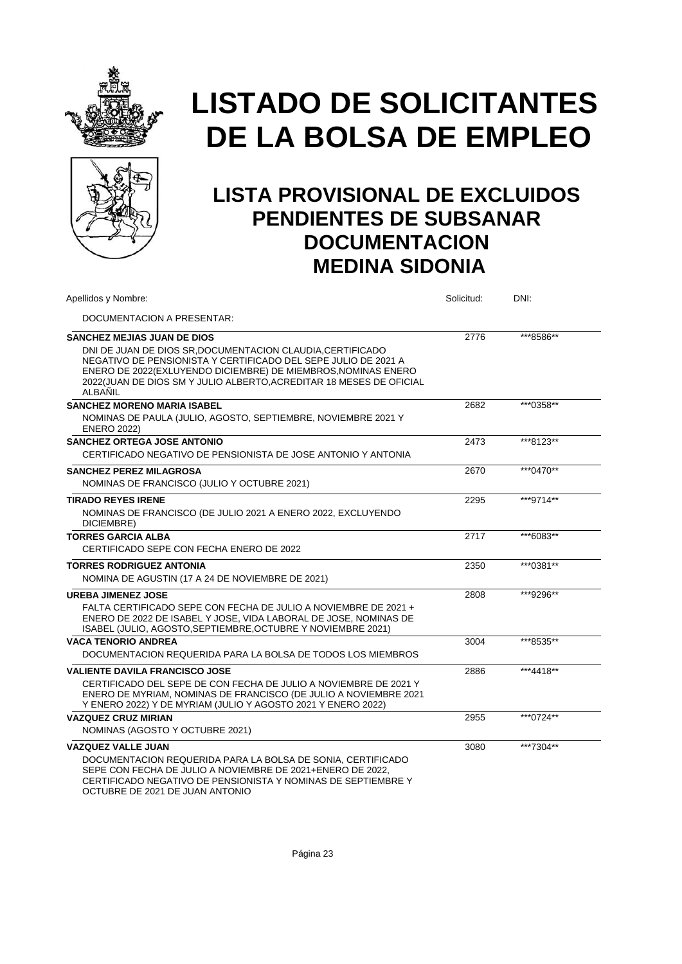



| Apellidos y Nombre:                                                                                                                                                                                                                                                                                                   | Solicitud: | DNI:      |
|-----------------------------------------------------------------------------------------------------------------------------------------------------------------------------------------------------------------------------------------------------------------------------------------------------------------------|------------|-----------|
| DOCUMENTACION A PRESENTAR:                                                                                                                                                                                                                                                                                            |            |           |
| <b>SANCHEZ MEJIAS JUAN DE DIOS</b><br>DNI DE JUAN DE DIOS SR, DOCUMENTACION CLAUDIA, CERTIFICADO<br>NEGATIVO DE PENSIONISTA Y CERTIFICADO DEL SEPE JULIO DE 2021 A<br>ENERO DE 2022(EXLUYENDO DICIEMBRE) DE MIEMBROS, NOMINAS ENERO<br>2022(JUAN DE DIOS SM Y JULIO ALBERTO, ACREDITAR 18 MESES DE OFICIAL<br>ALBAÑIL | 2776       | ***8586** |
| <b>SANCHEZ MORENO MARIA ISABEL</b><br>NOMINAS DE PAULA (JULIO, AGOSTO, SEPTIEMBRE, NOVIEMBRE 2021 Y<br><b>ENERO 2022)</b>                                                                                                                                                                                             | 2682       | ***0358** |
| <b>SANCHEZ ORTEGA JOSE ANTONIO</b><br>CERTIFICADO NEGATIVO DE PENSIONISTA DE JOSE ANTONIO Y ANTONIA                                                                                                                                                                                                                   | 2473       | ***8123** |
| <b>SANCHEZ PEREZ MILAGROSA</b><br>NOMINAS DE FRANCISCO (JULIO Y OCTUBRE 2021)                                                                                                                                                                                                                                         | 2670       | ***0470** |
| <b>TIRADO REYES IRENE</b><br>NOMINAS DE FRANCISCO (DE JULIO 2021 A ENERO 2022, EXCLUYENDO<br>DICIEMBRE)                                                                                                                                                                                                               | 2295       | ***9714** |
| <b>TORRES GARCIA ALBA</b><br>CERTIFICADO SEPE CON FECHA ENERO DE 2022                                                                                                                                                                                                                                                 | 2717       | ***6083** |
| <b>TORRES RODRIGUEZ ANTONIA</b><br>NOMINA DE AGUSTIN (17 A 24 DE NOVIEMBRE DE 2021)                                                                                                                                                                                                                                   | 2350       | ***0381** |
| <b>UREBA JIMENEZ JOSE</b><br>FALTA CERTIFICADO SEPE CON FECHA DE JULIO A NOVIEMBRE DE 2021 +<br>ENERO DE 2022 DE ISABEL Y JOSE. VIDA LABORAL DE JOSE. NOMINAS DE<br>ISABEL (JULIO, AGOSTO, SEPTIEMBRE, OCTUBRE Y NOVIEMBRE 2021)                                                                                      | 2808       | ***9296** |
| <b>VACA TENORIO ANDREA</b><br>DOCUMENTACION REQUERIDA PARA LA BOLSA DE TODOS LOS MIEMBROS                                                                                                                                                                                                                             | 3004       | ***8535** |
| <b>VALIENTE DAVILA FRANCISCO JOSE</b><br>CERTIFICADO DEL SEPE DE CON FECHA DE JULIO A NOVIEMBRE DE 2021 Y<br>ENERO DE MYRIAM, NOMINAS DE FRANCISCO (DE JULIO A NOVIEMBRE 2021<br>Y ENERO 2022) Y DE MYRIAM (JULIO Y AGOSTO 2021 Y ENERO 2022)                                                                         | 2886       | ***4418** |
| <b>VAZQUEZ CRUZ MIRIAN</b><br>NOMINAS (AGOSTO Y OCTUBRE 2021)                                                                                                                                                                                                                                                         | 2955       | ***0724** |
| <b>VAZQUEZ VALLE JUAN</b><br>DOCUMENTACION REQUERIDA PARA LA BOLSA DE SONIA, CERTIFICADO<br>SEPE CON FECHA DE JULIO A NOVIEMBRE DE 2021+ENERO DE 2022.<br>CERTIFICADO NEGATIVO DE PENSIONISTA Y NOMINAS DE SEPTIEMBRE Y<br>OCTUBRE DE 2021 DE JUAN ANTONIO                                                            | 3080       | ***7304** |